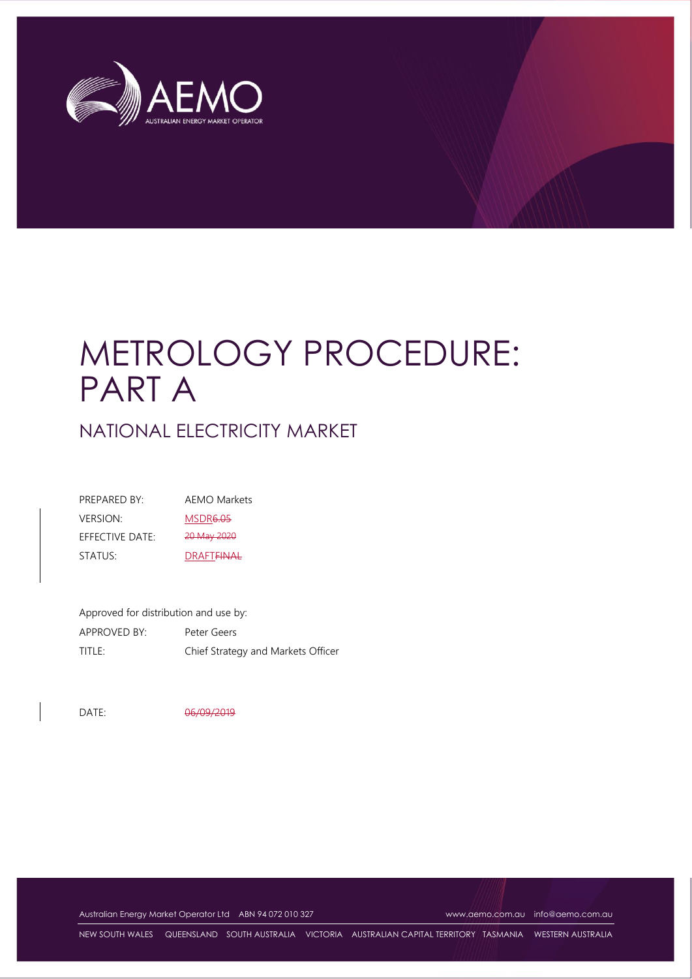

# METROLOGY PROCEDURE: PART A

NATIONAL ELECTRICITY MARKET

| PREPARED BY:    | AEMO Markets                 |
|-----------------|------------------------------|
| <b>VERSION:</b> | <b>MSDR6.05</b>              |
| EFFECTIVE DATE: | 20 May 2020                  |
| STATUS:         | <b>DRAFT<del>FINAL</del></b> |

Approved for distribution and use by: APPROVED BY: Peter Geers TITLE: Chief Strategy and Markets Officer

DATE: 06/09/2019

Australian Energy Market Operator Ltd ABN 94 072 010 327 [www.aemo.com.au](http://www.aemo.com.au/) [info@aemo.com.au](mailto:info@aemo.com.au)

NEW SOUTH WALES QUEENSLAND SOUTH AUSTRALIA VICTORIA AUSTRALIAN CAPITAL TERRITORY TASMANIA WESTERN AUSTRALIA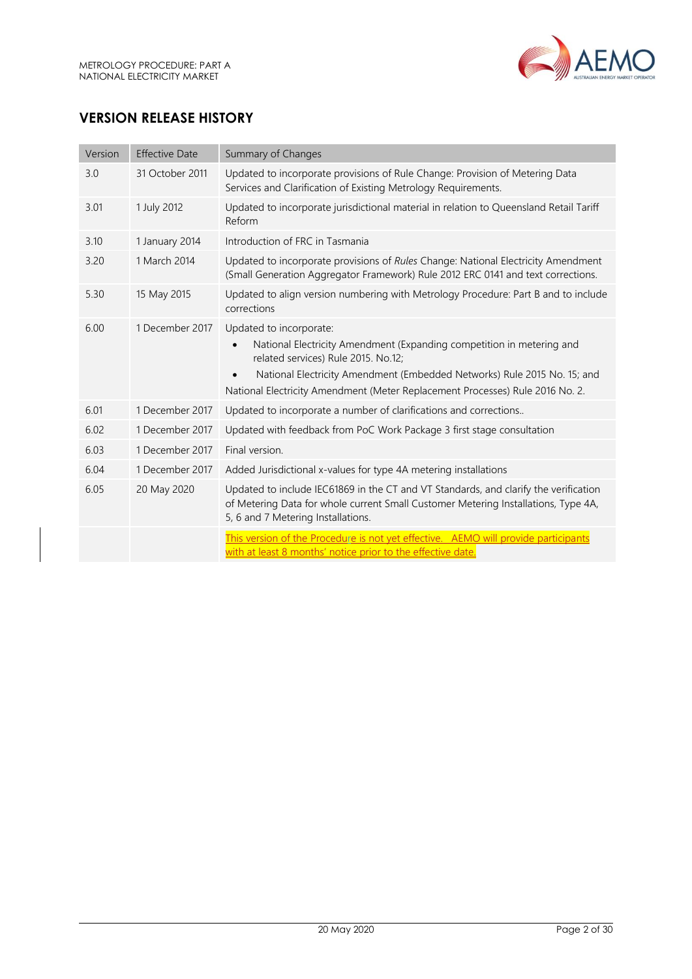

# **VERSION RELEASE HISTORY**

| Version | <b>Effective Date</b> | Summary of Changes                                                                                                                                                                                                                                                                                   |
|---------|-----------------------|------------------------------------------------------------------------------------------------------------------------------------------------------------------------------------------------------------------------------------------------------------------------------------------------------|
| 3.0     | 31 October 2011       | Updated to incorporate provisions of Rule Change: Provision of Metering Data<br>Services and Clarification of Existing Metrology Requirements.                                                                                                                                                       |
| 3.01    | 1 July 2012           | Updated to incorporate jurisdictional material in relation to Queensland Retail Tariff<br>Reform                                                                                                                                                                                                     |
| 3.10    | 1 January 2014        | Introduction of FRC in Tasmania                                                                                                                                                                                                                                                                      |
| 3.20    | 1 March 2014          | Updated to incorporate provisions of Rules Change: National Electricity Amendment<br>(Small Generation Aggregator Framework) Rule 2012 ERC 0141 and text corrections.                                                                                                                                |
| 5.30    | 15 May 2015           | Updated to align version numbering with Metrology Procedure: Part B and to include<br>corrections                                                                                                                                                                                                    |
| 6.00    | 1 December 2017       | Updated to incorporate:<br>National Electricity Amendment (Expanding competition in metering and<br>related services) Rule 2015. No.12;<br>National Electricity Amendment (Embedded Networks) Rule 2015 No. 15; and<br>National Electricity Amendment (Meter Replacement Processes) Rule 2016 No. 2. |
| 6.01    | 1 December 2017       | Updated to incorporate a number of clarifications and corrections                                                                                                                                                                                                                                    |
| 6.02    | 1 December 2017       | Updated with feedback from PoC Work Package 3 first stage consultation                                                                                                                                                                                                                               |
| 6.03    | 1 December 2017       | Final version.                                                                                                                                                                                                                                                                                       |
| 6.04    | 1 December 2017       | Added Jurisdictional x-values for type 4A metering installations                                                                                                                                                                                                                                     |
| 6.05    | 20 May 2020           | Updated to include IEC61869 in the CT and VT Standards, and clarify the verification<br>of Metering Data for whole current Small Customer Metering Installations, Type 4A,<br>5, 6 and 7 Metering Installations.                                                                                     |
|         |                       | This version of the Procedure is not yet effective. AEMO will provide participants<br>with at least 8 months' notice prior to the effective date.                                                                                                                                                    |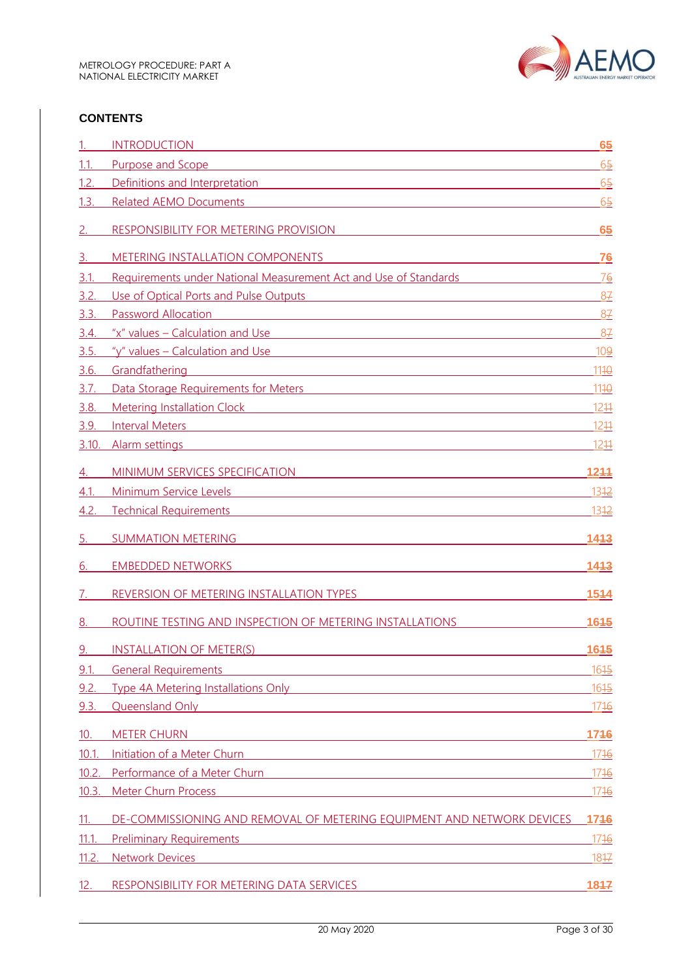

#### **CONTENTS**

|       | <b>INTRODUCTION</b><br><u> 1980 - Jan Barat, martin amerikan ba</u>                                                                                                                                                                  | 65             |
|-------|--------------------------------------------------------------------------------------------------------------------------------------------------------------------------------------------------------------------------------------|----------------|
| 1.1.  | Purpose and Scope<br>and the control of the control of the control of the control of the control of the control of the control of the                                                                                                | 6 <sub>5</sub> |
| 1.2.  | Definitions and Interpretation <b>Executive Contract Contract Contract Contract Contract Contract Contract Contract Contract Contract Contract Contract Contract Contract Contract Contract Contract Contract Contract Contract </b> | 6 <sub>5</sub> |
| 1.3.  | <b>Related AEMO Documents</b>                                                                                                                                                                                                        | $6\frac{5}{2}$ |
|       | RESPONSIBILITY FOR METERING PROVISION                                                                                                                                                                                                | 65             |
| З.    | METERING INSTALLATION COMPONENTS                                                                                                                                                                                                     | 76             |
| 3.1.  | Requirements under National Measurement Act and Use of Standards                                                                                                                                                                     | 76             |
| 3.2.  | Use of Optical Ports and Pulse Outputs <b>Community</b> 2014 12:00 12:00 12:00 12:00 12:00 12:00 12:00 12:00 12:00 12:00 12:00 12:00 12:00 12:00 12:00 12:00 12:00 12:00 12:00 12:00 12:00 12:00 12:00 12:00 12:00 12:00 12:00 12:0  | 87             |
| 3.3.  | <b>Password Allocation</b><br><u> 1980 - Johann Barnett, fransk politik (d. 1980)</u>                                                                                                                                                | 87             |
| 3.4.  | "x" values - Calculation and Use                                                                                                                                                                                                     | - 87           |
| 3.5.  | "y" values - Calculation and Use                                                                                                                                                                                                     | 109            |
| 3.6.  | Grandfathering<br><u> 1989 - Johann Barn, mars ann an t-Amhain an t-Amhain an t-Amhain an t-Amhain an t-Amhain an t-Amhain an t-Amh</u>                                                                                              | 1110           |
| 3.7.  | Data Storage Requirements for Meters <b>Constantine Constantine Constantine Constantine Constantine Constantine Constantine Constantine Constantine Constantine Constantine Constantine Constantine Constantine Constantine Cons</b> | 1110           |
| 3.8.  | Metering Installation Clock <b>Contract Contract Contract Contract Contract Contract Contract Contract Contract Contract Contract Contract Contract Contract Contract Contract Contract Contract Contract Contract Contract Cont</b> | 1244           |
| 3.9.  | <b>Interval Meters</b><br><u> 1989 - Johann Barn, mars ann an t-Amhain Aonaich an t-Aonaich an t-Aonaich ann an t-Aonaich ann an t-Aonaich</u>                                                                                       | 1211           |
| 3.10  | Alarm settings                                                                                                                                                                                                                       | 1211           |
| 4.    | MINIMUM SERVICES SPECIFICATION <b>And All Annual Service Services</b> and the service of the service of the service of the service of the service of the service of the service of the service of the service of the service of the  | 1244           |
| 4.1.  | Minimum Service Levels<br><u> 1989 - John Stein, Amerikaansk politiker (* 1958)</u>                                                                                                                                                  | 1312           |
| 4.2.  | <b>Technical Requirements</b><br>and the control of the control of the control of the control of the control of the control of the control of the                                                                                    | 1312           |
| 5.    | <b>SUMMATION METERING</b>                                                                                                                                                                                                            | 1413           |
| 6.    | <b>EMBEDDED NETWORKS</b>                                                                                                                                                                                                             | 1413           |
|       | REVERSION OF METERING INSTALLATION TYPES                                                                                                                                                                                             | 1544           |
| 8.    | ROUTINE TESTING AND INSPECTION OF METERING INSTALLATIONS                                                                                                                                                                             | 1645           |
| 9.    | <b>INSTALLATION OF METER(S)</b>                                                                                                                                                                                                      | 1645           |
| 9.1.  | <b>General Requirements</b><br><u> 1980 - Johann Stoff, fransk politik (d. 1980)</u>                                                                                                                                                 | 1645           |
| 9.2.  | <b>Type 4A Metering Installations Only The Community of the Community Community Community</b>                                                                                                                                        | 1615           |
| 9.3.  | Queensland Only <b>Container and Container and Container and Container and Container and Container and Container</b>                                                                                                                 | 1716           |
| 10.   | <b>METER CHURN</b><br><u> 1989 - Johann Stein, marwolaethau a bhann an t-Amhainn an t-Amhainn an t-Amhainn an t-Amhainn an t-Amhainn a</u>                                                                                           | 1746           |
| 10.1  | Initiation of a Meter Churn <b>Community of the Channel Act of the Channel Channel Act of the Channel Channel Channel Channel Channel Channel Channel Channel Channel Channel Channel Channel Channel Channel Channel Channel Ch</b> | 1716           |
| 10.2. | <b>Performance of a Meter Churn Contract Contract Contract Contract Contract Contract Contract Contract Contract Contract Contract Contract Contract Contract Contract Contract Contract Contract Contract Contract Contract C</b>   | 1716           |
| 10.3. | <b>Meter Churn Process</b>                                                                                                                                                                                                           | 1716           |
| 11.   | DE-COMMISSIONING AND REMOVAL OF METERING EQUIPMENT AND NETWORK DEVICES                                                                                                                                                               | 1746           |
| 11.1  | <b>Preliminary Requirements</b>                                                                                                                                                                                                      | 1716           |
| 11.2. | <u> 1989 - Johann Stein, marwolaethau a bhann an t-Amhainn an t-Amhainn an t-Amhainn an t-Amhainn an t-Amhainn a</u><br><b>Network Devices</b>                                                                                       | 1847           |
|       |                                                                                                                                                                                                                                      |                |
| 12.   | RESPONSIBILITY FOR METERING DATA SERVICES                                                                                                                                                                                            | 1847           |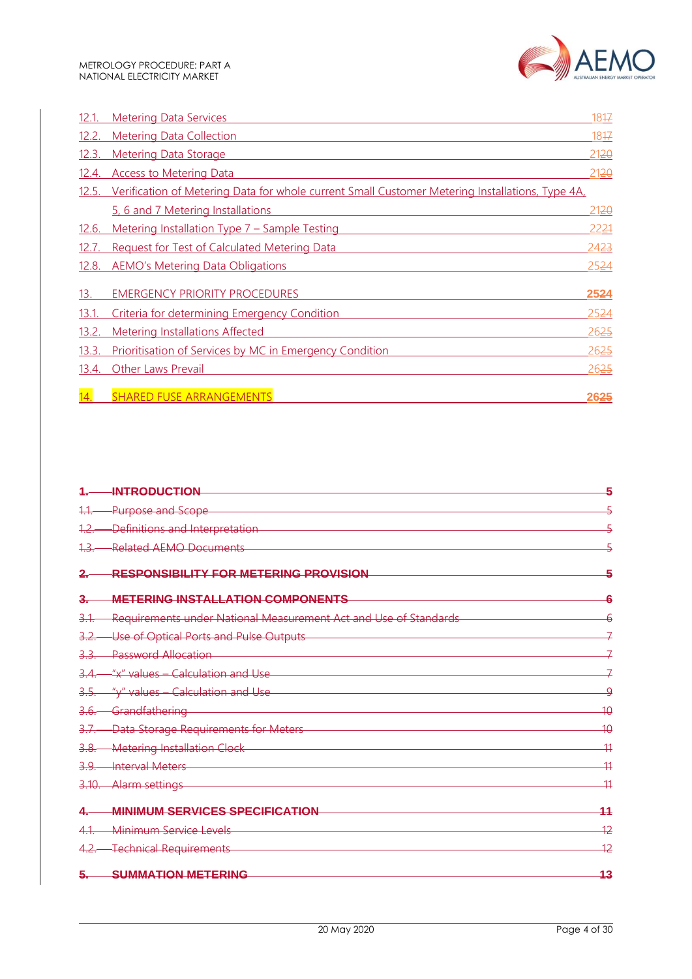

| 12.1. | <b>Metering Data Services</b>                                                                   | 1847 |
|-------|-------------------------------------------------------------------------------------------------|------|
| 12.2. | <b>Metering Data Collection</b>                                                                 | 1847 |
| 12.3. | <b>Metering Data Storage</b>                                                                    | 2120 |
| 12.4. | <b>Access to Metering Data</b>                                                                  | 2120 |
| 12.5. | Verification of Metering Data for whole current Small Customer Metering Installations, Type 4A, |      |
|       | 5, 6 and 7 Metering Installations                                                               | 2120 |
| 12.6. | Metering Installation Type 7 - Sample Testing                                                   | 2221 |
| 12.7. | Request for Test of Calculated Metering Data                                                    | 2423 |
| 12.8. | <b>AEMO's Metering Data Obligations</b>                                                         | 2524 |
| 13.   | <b>EMERGENCY PRIORITY PROCEDURES</b>                                                            | 2524 |
| 13.1. | Criteria for determining Emergency Condition                                                    | 2524 |
| 13.2. | <b>Metering Installations Affected</b>                                                          | 2625 |
| 13.3. | Prioritisation of Services by MC in Emergency Condition                                         | 2625 |
| 13.4. | <b>Other Laws Prevail</b>                                                                       | 2625 |
| 14.   | <b>SHARED FUSE ARRANGEMENTS</b>                                                                 | 2625 |

|             | <b>INTRODUCTION</b>                                              | 5               |
|-------------|------------------------------------------------------------------|-----------------|
|             | <b>Purpose and Scope</b>                                         |                 |
|             | Definitions and Interpretation                                   |                 |
|             | <b>Related AEMO Documents</b>                                    |                 |
|             | RESPONSIBILITY FOR METERING PROVISION                            |                 |
|             | <b>METERING INSTALLATION COMPONENTS</b>                          |                 |
|             | Requirements under National Measurement Act and Use of Standards |                 |
|             | Use of Optical Ports and Pulse Outputs                           |                 |
|             | <b>Password Allocation</b>                                       |                 |
|             | "x" values - Calculation and Use                                 |                 |
|             | "y" values - Calculation and Use                                 | Q               |
|             | Grandfathering                                                   | $\overline{10}$ |
|             | Data Storage Requirements for Meters                             | $\overline{10}$ |
|             | <b>Metering Installation Clock</b>                               | 44              |
| <u>3.9.</u> | <b>Interval Meters</b>                                           | 11              |
|             | -Alarm settings                                                  | 44              |
|             | <b>MINIMUM SERVICES SPECIFICATION</b>                            | 11              |
|             | Minimum Service Levels                                           | $\overline{12}$ |
|             | <b>Technical Requirements</b>                                    | 12              |
|             | <b>SUMMATION METERING</b>                                        | 13              |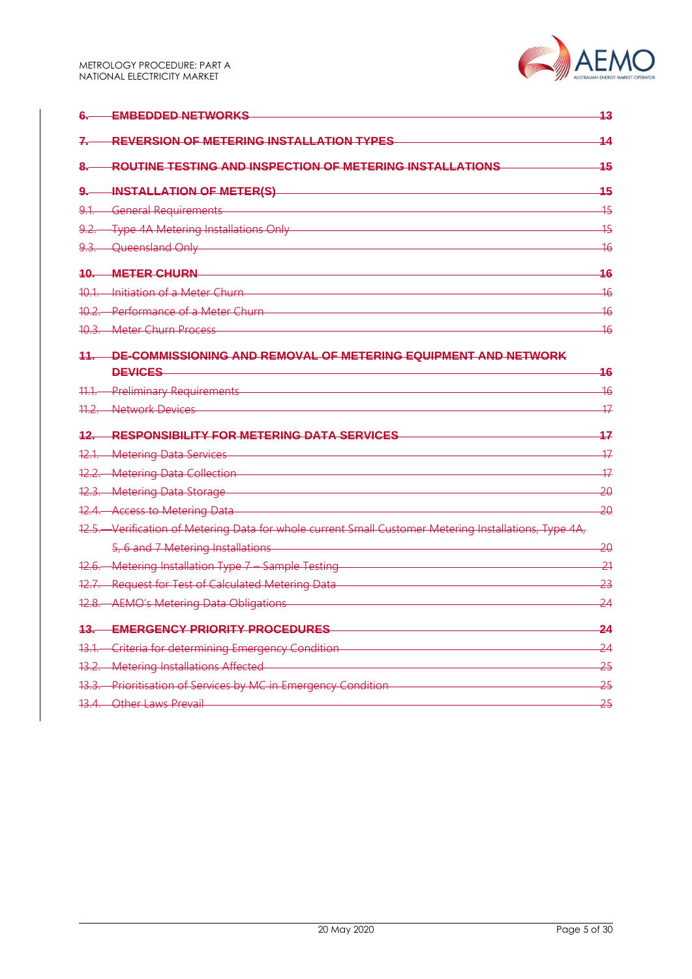|        | <b>EMBEDDED NETWORKS</b>                                                                              | 13              |
|--------|-------------------------------------------------------------------------------------------------------|-----------------|
| 7.     | <b>REVERSION OF METERING INSTALLATION TYPES</b>                                                       | 14              |
| 8.     | ROUTINE TESTING AND INSPECTION OF METERING INSTALLATIONS                                              | 45              |
| جو.    | INSTALLATION OF METER(S)                                                                              | 15              |
|        | 9.1. General Requirements                                                                             | 15              |
|        | 9.2. Type 4A Metering Installations Only                                                              | 15              |
|        | 9.3. Queensland Only                                                                                  | 46              |
|        | <b>10. METER CHURN</b>                                                                                | 16              |
|        | 10.1 Initiation of a Meter Churn                                                                      | 16              |
|        | 10.2. Performance of a Meter Churn-                                                                   | $\frac{16}{5}$  |
|        | 10.3. Meter Churn Process                                                                             | $\overline{16}$ |
|        | 11. DE-COMMISSIONING AND REMOVAL OF METERING EQUIPMENT AND NETWORK                                    |                 |
|        | <b>DEVICES</b>                                                                                        | 16              |
|        | 11.1. Preliminary Requirements                                                                        | 16              |
|        | 11.2. Network Devices                                                                                 | 47              |
|        | 12. RESPONSIBILITY FOR METERING DATA SERVICES                                                         | 17              |
|        | 12.1. Metering Data Services                                                                          | 17              |
|        | 12.2. Metering Data Collection                                                                        | $\overline{17}$ |
|        | 12.3. Metering Data Storage                                                                           | 20              |
|        | 12.4. Access to Metering Data                                                                         | -20             |
|        | 12.5. Verification of Metering Data for whole current Small Customer Metering Installations, Type 4A, |                 |
|        | 5, 6 and 7 Metering Installations                                                                     | -20             |
|        | 12.6. Metering Installation Type 7 - Sample Testing                                                   | $-21$           |
|        | 12.7. Request for Test of Calculated Metering Data                                                    | 23              |
|        | 12.8. AEMO's Metering Data Obligations                                                                | 24              |
| $13 -$ | <b>EMERGENCY PRIORITY PROCEDURES</b>                                                                  | $\overline{24}$ |
|        | 13.1. Criteria for determining Emergency Condition                                                    | 24              |
|        | 13.2. Metering Installations Affected                                                                 | 25              |
|        | 13.3. Prioritisation of Services by MC in Emergency Condition                                         | $-25$           |
|        | 13.4. Other Laws Prevail 2008 2014                                                                    | $-25$           |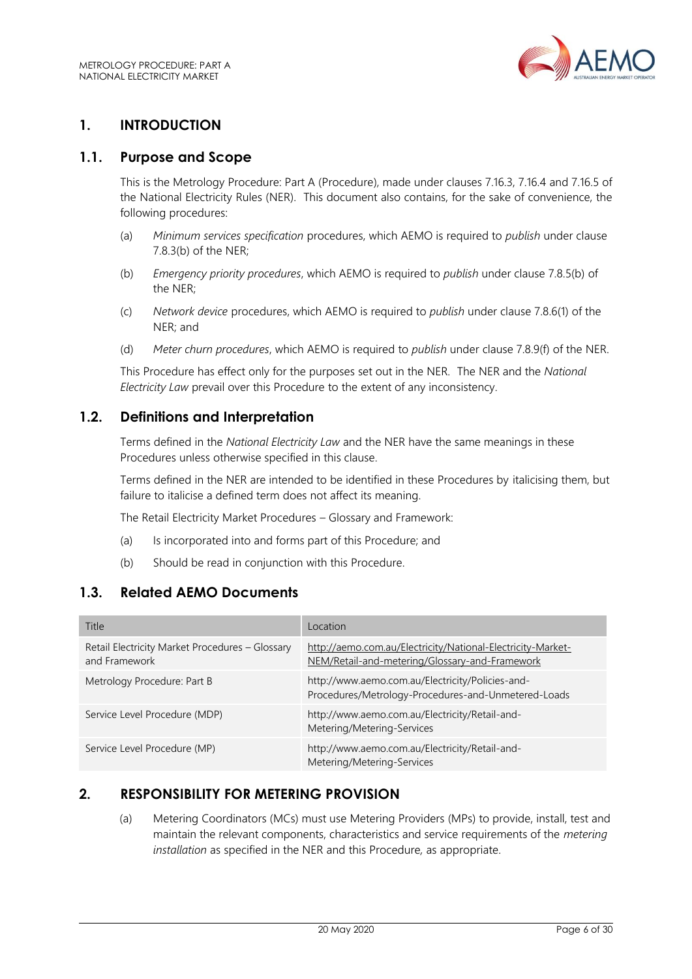

# <span id="page-5-0"></span>**1. INTRODUCTION**

#### <span id="page-5-1"></span>**1.1. Purpose and Scope**

This is the Metrology Procedure: Part A (Procedure), made under clauses 7.16.3, 7.16.4 and 7.16.5 of the National Electricity Rules (NER). This document also contains, for the sake of convenience, the following procedures:

- (a) *Minimum services specification* procedures, which AEMO is required to *publish* under clause 7.8.3(b) of the NER;
- (b) *Emergency priority procedures*, which AEMO is required to *publish* under clause 7.8.5(b) of the NER;
- (c) *Network device* procedures, which AEMO is required to *publish* under clause 7.8.6(1) of the NER; and
- (d) *Meter churn procedures*, which AEMO is required to *publish* under clause 7.8.9(f) of the NER.

This Procedure has effect only for the purposes set out in the NER. The NER and the *National Electricity Law* prevail over this Procedure to the extent of any inconsistency.

### <span id="page-5-2"></span>**1.2. Definitions and Interpretation**

Terms defined in the *National Electricity Law* and the NER have the same meanings in these Procedures unless otherwise specified in this clause.

Terms defined in the NER are intended to be identified in these Procedures by italicising them, but failure to italicise a defined term does not affect its meaning.

The Retail Electricity Market Procedures – Glossary and Framework:

- (a) Is incorporated into and forms part of this Procedure; and
- (b) Should be read in conjunction with this Procedure.

# <span id="page-5-3"></span>**1.3. Related AEMO Documents**

| Title                                                            | Location                                                                                                      |
|------------------------------------------------------------------|---------------------------------------------------------------------------------------------------------------|
| Retail Electricity Market Procedures - Glossary<br>and Framework | http://aemo.com.au/Electricity/National-Electricity-Market-<br>NEM/Retail-and-metering/Glossary-and-Framework |
| Metrology Procedure: Part B                                      | http://www.aemo.com.au/Electricity/Policies-and-<br>Procedures/Metrology-Procedures-and-Unmetered-Loads       |
| Service Level Procedure (MDP)                                    | http://www.aemo.com.au/Electricity/Retail-and-<br>Metering/Metering-Services                                  |
| Service Level Procedure (MP)                                     | http://www.aemo.com.au/Electricity/Retail-and-<br>Metering/Metering-Services                                  |

### <span id="page-5-4"></span>**2. RESPONSIBILITY FOR METERING PROVISION**

(a) Metering Coordinators (MCs) must use Metering Providers (MPs) to provide, install, test and maintain the relevant components, characteristics and service requirements of the *metering installation* as specified in the NER and this Procedure*,* as appropriate.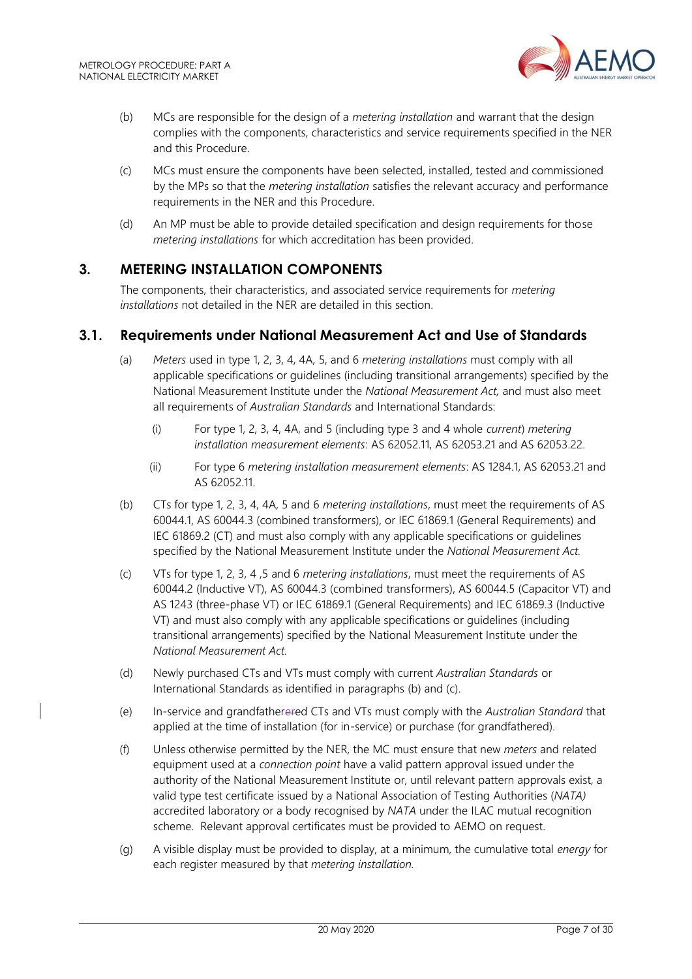

- (b) MCs are responsible for the design of a *metering installation* and warrant that the design complies with the components, characteristics and service requirements specified in the NER and this Procedure.
- (c) MCs must ensure the components have been selected, installed, tested and commissioned by the MPs so that the *metering installation* satisfies the relevant accuracy and performance requirements in the NER and this Procedure.
- (d) An MP must be able to provide detailed specification and design requirements for those *metering installations* for which accreditation has been provided.

### <span id="page-6-0"></span>**3. METERING INSTALLATION COMPONENTS**

The components, their characteristics, and associated service requirements for *metering installations* not detailed in the NER are detailed in this section.

#### <span id="page-6-1"></span>**3.1. Requirements under National Measurement Act and Use of Standards**

- (a) *Meters* used in type 1, 2, 3, 4, 4A, 5, and 6 *metering installations* must comply with all applicable specifications or guidelines (including transitional arrangements) specified by the National Measurement Institute under the *National Measurement Act,* and must also meet all requirements of *Australian Standards* and International Standards:
	- (i) For type 1, 2, 3, 4, 4A, and 5 (including type 3 and 4 whole *current*) *metering installation measurement elements*: AS 62052.11, AS 62053.21 and AS 62053.22.
	- (ii) For type 6 *metering installation measurement elements*: AS 1284.1, AS 62053.21 and AS 62052.11.
- (b) CTs for type 1, 2, 3, 4, 4A, 5 and 6 *metering installations*, must meet the requirements of AS 60044.1, AS 60044.3 (combined transformers), or IEC 61869.1 (General Requirements) and IEC 61869.2 (CT) and must also comply with any applicable specifications or guidelines specified by the National Measurement Institute under the *National Measurement Act.*
- (c) VTs for type 1, 2, 3, 4 ,5 and 6 *metering installations*, must meet the requirements of AS 60044.2 (Inductive VT), AS 60044.3 (combined transformers), AS 60044.5 (Capacitor VT) and AS 1243 (three-phase VT) or IEC 61869.1 (General Requirements) and IEC 61869.3 (Inductive VT) and must also comply with any applicable specifications or guidelines (including transitional arrangements) specified by the National Measurement Institute under the *National Measurement Act.*
- (d) Newly purchased CTs and VTs must comply with current *Australian Standards* or International Standards as identified in paragraphs (b) and (c).
- (e) In-service and grandfatherered CTs and VTs must comply with the *Australian Standard* that applied at the time of installation (for in-service) or purchase (for grandfathered).
- (f) Unless otherwise permitted by the NER, the MC must ensure that new *meters* and related equipment used at a *connection point* have a valid pattern approval issued under the authority of the National Measurement Institute or, until relevant pattern approvals exist, a valid type test certificate issued by a National Association of Testing Authorities (*NATA)* accredited laboratory or a body recognised by *NATA* under the ILAC mutual recognition scheme. Relevant approval certificates must be provided to AEMO on request.
- (g) A visible display must be provided to display, at a minimum, the cumulative total *energy* for each register measured by that *metering installation.*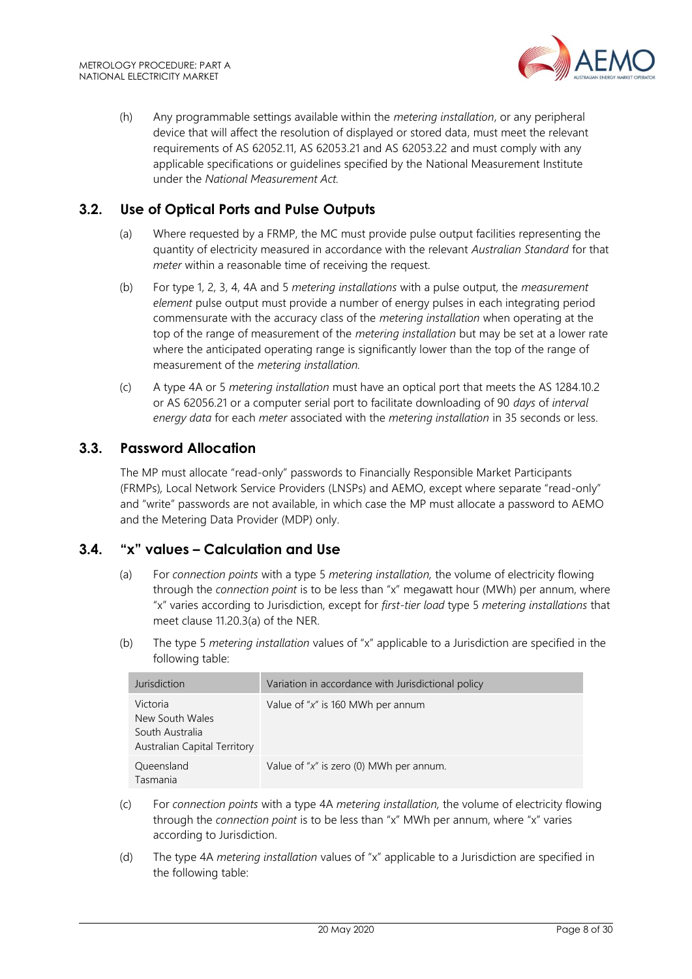

(h) Any programmable settings available within the *metering installation*, or any peripheral device that will affect the resolution of displayed or stored data, must meet the relevant requirements of AS 62052.11, AS 62053.21 and AS 62053.22 and must comply with any applicable specifications or guidelines specified by the National Measurement Institute under the *National Measurement Act.*

# <span id="page-7-0"></span>**3.2. Use of Optical Ports and Pulse Outputs**

- (a) Where requested by a FRMP, the MC must provide pulse output facilities representing the quantity of electricity measured in accordance with the relevant *Australian Standard* for that *meter* within a reasonable time of receiving the request.
- (b) For type 1, 2, 3, 4, 4A and 5 *metering installations* with a pulse output, the *measurement element* pulse output must provide a number of energy pulses in each integrating period commensurate with the accuracy class of the *metering installation* when operating at the top of the range of measurement of the *metering installation* but may be set at a lower rate where the anticipated operating range is significantly lower than the top of the range of measurement of the *metering installation.*
- (c) A type 4A or 5 *metering installation* must have an optical port that meets the AS 1284.10.2 or AS 62056.21 or a computer serial port to facilitate downloading of 90 *days* of *interval energy data* for each *meter* associated with the *metering installation* in 35 seconds or less.

### <span id="page-7-1"></span>**3.3. Password Allocation**

The MP must allocate "read-only" passwords to Financially Responsible Market Participants (FRMPs)*,* Local Network Service Providers (LNSPs) and AEMO, except where separate "read-only" and "write" passwords are not available, in which case the MP must allocate a password to AEMO and the Metering Data Provider (MDP) only.

### <span id="page-7-2"></span>**3.4. "x" values – Calculation and Use**

- (a) For *connection points* with a type 5 *metering installation,* the volume of electricity flowing through the *connection point* is to be less than "x" megawatt hour (MWh) per annum, where "x" varies according to Jurisdiction, except for *first-tier load* type 5 *metering installations* that meet clause 11.20.3(a) of the NER.
- (b) The type 5 *metering installation* values of "x" applicable to a Jurisdiction are specified in the following table:

| Jurisdiction                                                                   | Variation in accordance with Jurisdictional policy |
|--------------------------------------------------------------------------------|----------------------------------------------------|
| Victoria<br>New South Wales<br>South Australia<br>Australian Capital Territory | Value of " $x$ " is 160 MWh per annum              |
| Queensland<br>Tasmania                                                         | Value of " $x$ " is zero (0) MWh per annum.        |

- (c) For *connection points* with a type 4A *metering installation,* the volume of electricity flowing through the *connection point* is to be less than "x" MWh per annum, where "x" varies according to Jurisdiction.
- (d) The type 4A *metering installation* values of "x" applicable to a Jurisdiction are specified in the following table: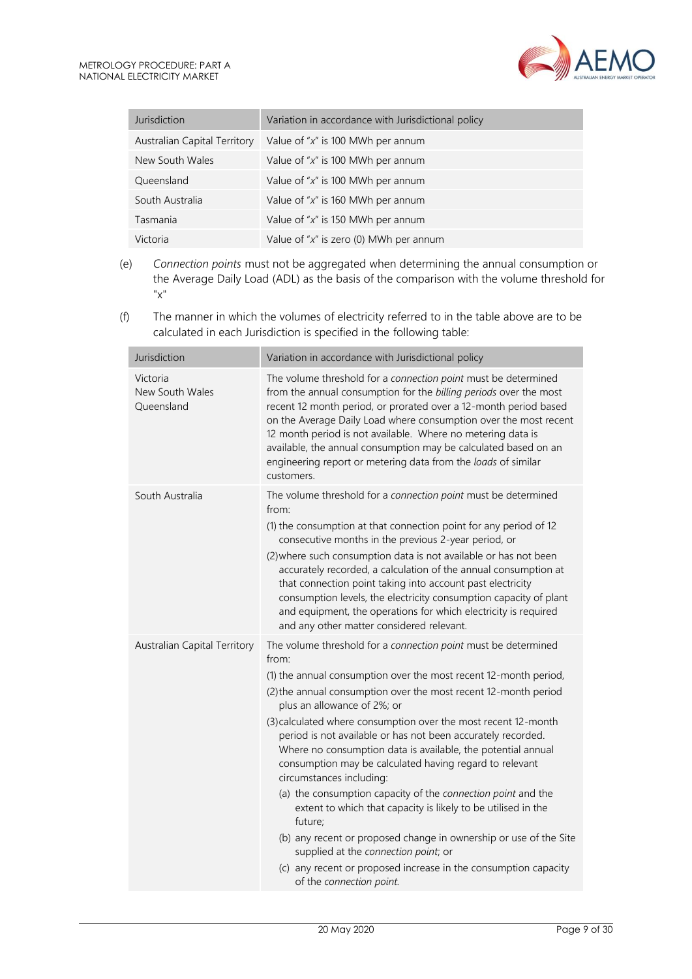| Jurisdiction                 | Variation in accordance with Jurisdictional policy |
|------------------------------|----------------------------------------------------|
| Australian Capital Territory | Value of " $x$ " is 100 MWh per annum              |
| New South Wales              | Value of " $x$ " is 100 MWh per annum              |
| Queensland                   | Value of " $x$ " is 100 MWh per annum              |
| South Australia              | Value of " $x$ " is 160 MWh per annum              |
| Tasmania                     | Value of " $x$ " is 150 MWh per annum              |
| Victoria                     | Value of "x" is zero (0) MWh per annum             |

- (e) *Connection points* must not be aggregated when determining the annual consumption or the Average Daily Load (ADL) as the basis of the comparison with the volume threshold for "x"
- (f) The manner in which the volumes of electricity referred to in the table above are to be calculated in each Jurisdiction is specified in the following table:

| Jurisdiction                              | Variation in accordance with Jurisdictional policy                                                                                                                                                                                                                                                                                                                                                                                                                                                                                                                                                                                                                                                                                                                                                                                                                                             |
|-------------------------------------------|------------------------------------------------------------------------------------------------------------------------------------------------------------------------------------------------------------------------------------------------------------------------------------------------------------------------------------------------------------------------------------------------------------------------------------------------------------------------------------------------------------------------------------------------------------------------------------------------------------------------------------------------------------------------------------------------------------------------------------------------------------------------------------------------------------------------------------------------------------------------------------------------|
| Victoria<br>New South Wales<br>Queensland | The volume threshold for a connection point must be determined<br>from the annual consumption for the billing periods over the most<br>recent 12 month period, or prorated over a 12-month period based<br>on the Average Daily Load where consumption over the most recent<br>12 month period is not available. Where no metering data is<br>available, the annual consumption may be calculated based on an<br>engineering report or metering data from the loads of similar<br>customers.                                                                                                                                                                                                                                                                                                                                                                                                   |
| South Australia                           | The volume threshold for a connection point must be determined<br>from:<br>(1) the consumption at that connection point for any period of 12<br>consecutive months in the previous 2-year period, or<br>(2) where such consumption data is not available or has not been<br>accurately recorded, a calculation of the annual consumption at<br>that connection point taking into account past electricity<br>consumption levels, the electricity consumption capacity of plant<br>and equipment, the operations for which electricity is required<br>and any other matter considered relevant.                                                                                                                                                                                                                                                                                                 |
| Australian Capital Territory              | The volume threshold for a connection point must be determined<br>from:<br>(1) the annual consumption over the most recent 12-month period,<br>(2) the annual consumption over the most recent 12-month period<br>plus an allowance of 2%; or<br>(3) calculated where consumption over the most recent 12-month<br>period is not available or has not been accurately recorded.<br>Where no consumption data is available, the potential annual<br>consumption may be calculated having regard to relevant<br>circumstances including:<br>(a) the consumption capacity of the connection point and the<br>extent to which that capacity is likely to be utilised in the<br>future;<br>(b) any recent or proposed change in ownership or use of the Site<br>supplied at the connection point; or<br>(c) any recent or proposed increase in the consumption capacity<br>of the connection point. |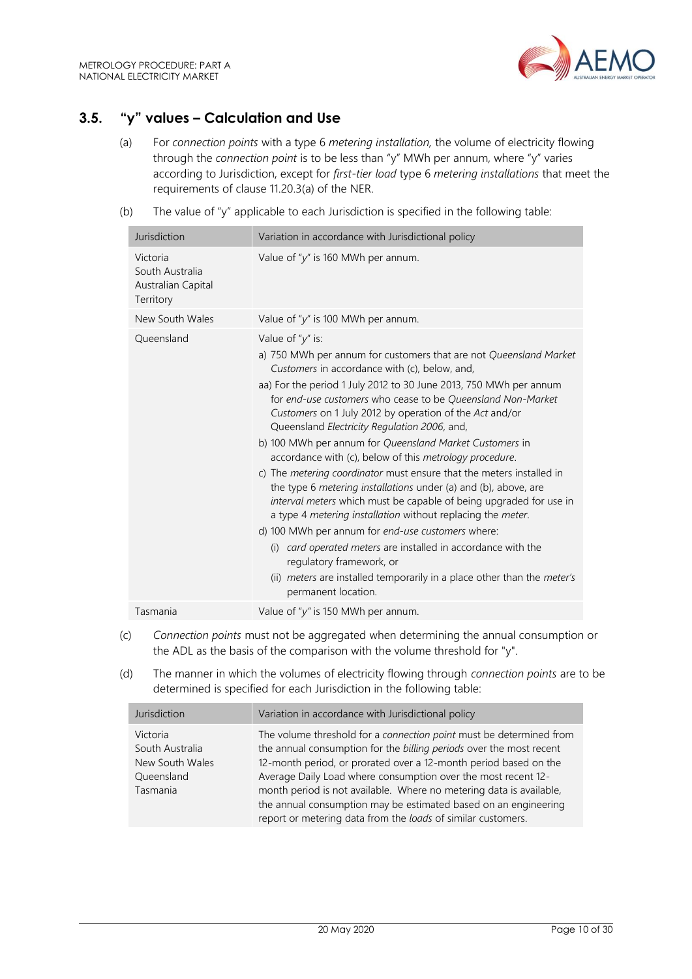

# <span id="page-9-0"></span>**3.5. "y" values – Calculation and Use**

- (a) For *connection points* with a type 6 *metering installation,* the volume of electricity flowing through the *connection point* is to be less than "y" MWh per annum, where "y" varies according to Jurisdiction, except for *first-tier load* type 6 *metering installations* that meet the requirements of clause 11.20.3(a) of the NER.
- (b) The value of "y" applicable to each Jurisdiction is specified in the following table:

| Jurisdiction                                                   | Variation in accordance with Jurisdictional policy                                                                                                                                                                                                                                                                                                                                                                                                                                                                                                                                                                                                                                                                                                                                                                                                                                                                                                                                                                                                            |
|----------------------------------------------------------------|---------------------------------------------------------------------------------------------------------------------------------------------------------------------------------------------------------------------------------------------------------------------------------------------------------------------------------------------------------------------------------------------------------------------------------------------------------------------------------------------------------------------------------------------------------------------------------------------------------------------------------------------------------------------------------------------------------------------------------------------------------------------------------------------------------------------------------------------------------------------------------------------------------------------------------------------------------------------------------------------------------------------------------------------------------------|
| Victoria<br>South Australia<br>Australian Capital<br>Territory | Value of "y" is 160 MWh per annum.                                                                                                                                                                                                                                                                                                                                                                                                                                                                                                                                                                                                                                                                                                                                                                                                                                                                                                                                                                                                                            |
| New South Wales                                                | Value of "y" is 100 MWh per annum.                                                                                                                                                                                                                                                                                                                                                                                                                                                                                                                                                                                                                                                                                                                                                                                                                                                                                                                                                                                                                            |
| Queensland                                                     | Value of " $y$ " is:<br>a) 750 MWh per annum for customers that are not Queensland Market<br>Customers in accordance with (c), below, and,<br>aa) For the period 1 July 2012 to 30 June 2013, 750 MWh per annum<br>for end-use customers who cease to be Queensland Non-Market<br>Customers on 1 July 2012 by operation of the Act and/or<br>Queensland Electricity Regulation 2006, and,<br>b) 100 MWh per annum for Queensland Market Customers in<br>accordance with (c), below of this metrology procedure.<br>c) The <i>metering coordinator</i> must ensure that the meters installed in<br>the type 6 metering installations under (a) and (b), above, are<br>interval meters which must be capable of being upgraded for use in<br>a type 4 metering installation without replacing the meter.<br>d) 100 MWh per annum for end-use customers where:<br>card operated meters are installed in accordance with the<br>(i)<br>regulatory framework, or<br>(ii) meters are installed temporarily in a place other than the meter's<br>permanent location. |
| Tasmania                                                       | Value of " $y$ " is 150 MWh per annum.                                                                                                                                                                                                                                                                                                                                                                                                                                                                                                                                                                                                                                                                                                                                                                                                                                                                                                                                                                                                                        |

- (c) *Connection points* must not be aggregated when determining the annual consumption or the ADL as the basis of the comparison with the volume threshold for "y".
- (d) The manner in which the volumes of electricity flowing through *connection points* are to be determined is specified for each Jurisdiction in the following table:

| Jurisdiction                                                             | Variation in accordance with Jurisdictional policy                                                                                                                                                                                                                                                                                                                                                                                                                                        |
|--------------------------------------------------------------------------|-------------------------------------------------------------------------------------------------------------------------------------------------------------------------------------------------------------------------------------------------------------------------------------------------------------------------------------------------------------------------------------------------------------------------------------------------------------------------------------------|
| Victoria<br>South Australia<br>New South Wales<br>Queensland<br>Tasmania | The volume threshold for a connection point must be determined from<br>the annual consumption for the billing periods over the most recent<br>12-month period, or prorated over a 12-month period based on the<br>Average Daily Load where consumption over the most recent 12-<br>month period is not available. Where no metering data is available,<br>the annual consumption may be estimated based on an engineering<br>report or metering data from the loads of similar customers. |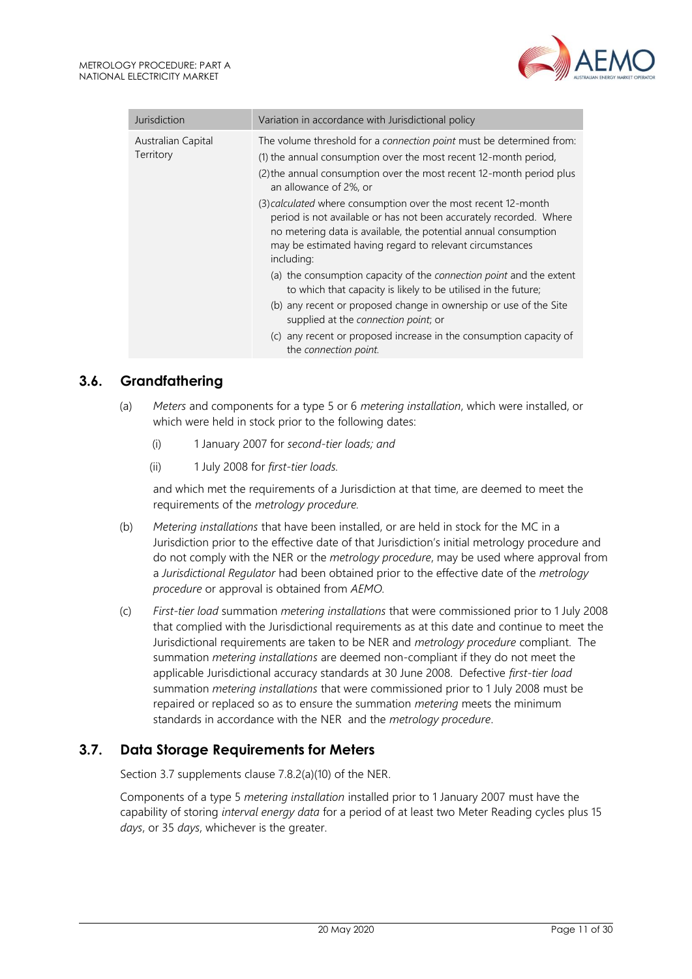

| Jurisdiction                    | Variation in accordance with Jurisdictional policy                                                                                                                                                                                                                                |  |
|---------------------------------|-----------------------------------------------------------------------------------------------------------------------------------------------------------------------------------------------------------------------------------------------------------------------------------|--|
| Australian Capital<br>Territory | The volume threshold for a connection point must be determined from:<br>(1) the annual consumption over the most recent 12-month period,<br>(2) the annual consumption over the most recent 12-month period plus<br>an allowance of 2%, or                                        |  |
|                                 | (3) calculated where consumption over the most recent 12-month<br>period is not available or has not been accurately recorded. Where<br>no metering data is available, the potential annual consumption<br>may be estimated having regard to relevant circumstances<br>including: |  |
|                                 | (a) the consumption capacity of the connection point and the extent<br>to which that capacity is likely to be utilised in the future;                                                                                                                                             |  |
|                                 | (b) any recent or proposed change in ownership or use of the Site<br>supplied at the connection point; or                                                                                                                                                                         |  |
|                                 | (c) any recent or proposed increase in the consumption capacity of<br>the connection point.                                                                                                                                                                                       |  |

# <span id="page-10-0"></span>**3.6. Grandfathering**

- (a) *Meters* and components for a type 5 or 6 *metering installation*, which were installed, or which were held in stock prior to the following dates:
	- (i) 1 January 2007 for *second-tier loads; and*
	- (ii) 1 July 2008 for *first-tier loads.*

and which met the requirements of a Jurisdiction at that time, are deemed to meet the requirements of the *metrology procedure.*

- (b) *Metering installations* that have been installed, or are held in stock for the MC in a Jurisdiction prior to the effective date of that Jurisdiction's initial metrology procedure and do not comply with the NER or the *metrology procedure*, may be used where approval from a *Jurisdictional Regulator* had been obtained prior to the effective date of the *metrology procedure* or approval is obtained from *AEMO.*
- (c) *First-tier load* summation *metering installations* that were commissioned prior to 1 July 2008 that complied with the Jurisdictional requirements as at this date and continue to meet the Jurisdictional requirements are taken to be NER and *metrology procedure* compliant. The summation *metering installations* are deemed non-compliant if they do not meet the applicable Jurisdictional accuracy standards at 30 June 2008. Defective *first-tier load* summation *metering installations* that were commissioned prior to 1 July 2008 must be repaired or replaced so as to ensure the summation *metering* meets the minimum standards in accordance with the NER and the *metrology procedure*.

### <span id="page-10-1"></span>**3.7. Data Storage Requirements for Meters**

Section 3.7 supplements clause 7.8.2(a)(10) of the NER.

Components of a type 5 *metering installation* installed prior to 1 January 2007 must have the capability of storing *interval energy data* for a period of at least two Meter Reading cycles plus 15 *days*, or 35 *days*, whichever is the greater.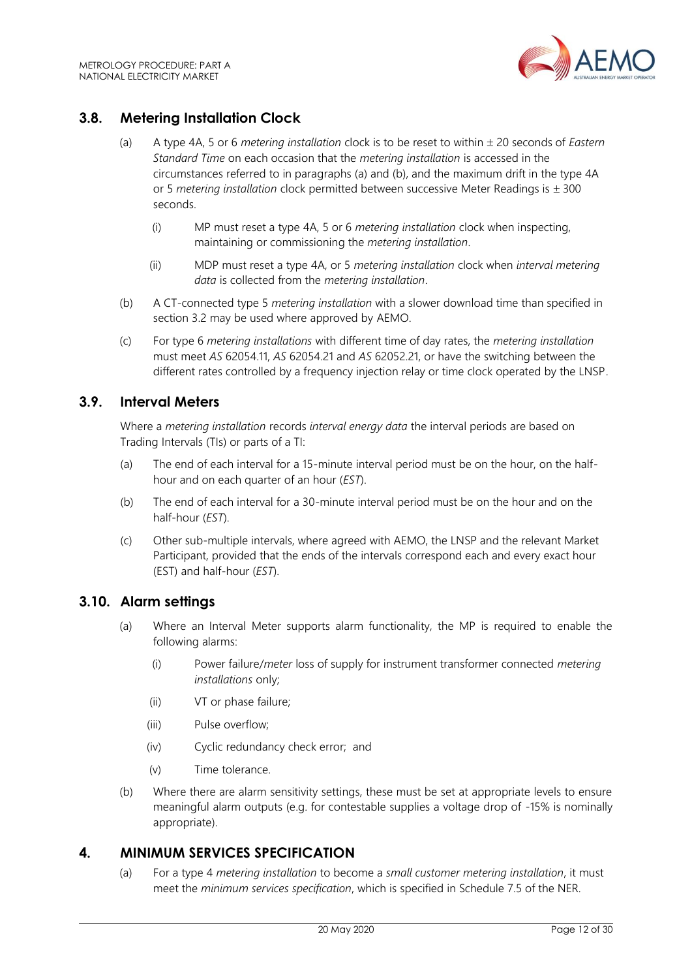

# <span id="page-11-0"></span>**3.8. Metering Installation Clock**

- (a) A type 4A, 5 or 6 *metering installation* clock is to be reset to within 20 seconds of *Eastern Standard Time* on each occasion that the *metering installation* is accessed in the circumstances referred to in paragraphs (a) and (b), and the maximum drift in the type 4A or 5 *metering installation* clock permitted between successive Meter Readings is  $\pm$  300 seconds.
	- (i) MP must reset a type 4A, 5 or 6 *metering installation* clock when inspecting, maintaining or commissioning the *metering installation*.
	- (ii) MDP must reset a type 4A, or 5 *metering installation* clock when *interval metering data* is collected from the *metering installation*.
- (b) A CT-connected type 5 *metering installation* with a slower download time than specified in section 3.2 may be used where approved by AEMO.
- (c) For type 6 *metering installations* with different time of day rates, the *metering installation* must meet *AS* 62054.11, *AS* 62054.21 and *AS* 62052.21, or have the switching between the different rates controlled by a frequency injection relay or time clock operated by the LNSP.

## <span id="page-11-1"></span>**3.9. Interval Meters**

Where a *metering installation* records *interval energy data* the interval periods are based on Trading Intervals (TIs) or parts of a TI:

- (a) The end of each interval for a 15-minute interval period must be on the hour, on the halfhour and on each quarter of an hour (*EST*).
- (b) The end of each interval for a 30-minute interval period must be on the hour and on the half-hour (*EST*).
- (c) Other sub-multiple intervals, where agreed with AEMO, the LNSP and the relevant Market Participant, provided that the ends of the intervals correspond each and every exact hour (EST) and half-hour (*EST*).

# <span id="page-11-2"></span>**3.10. Alarm settings**

- (a) Where an Interval Meter supports alarm functionality, the MP is required to enable the following alarms:
	- (i) Power failure/*meter* loss of supply for instrument transformer connected *metering installations* only;
	- (ii) VT or phase failure;
	- (iii) Pulse overflow;
	- (iv) Cyclic redundancy check error; and
	- (v) Time tolerance.
- (b) Where there are alarm sensitivity settings, these must be set at appropriate levels to ensure meaningful alarm outputs (e.g. for contestable supplies a voltage drop of -15% is nominally appropriate).

### <span id="page-11-3"></span>**4. MINIMUM SERVICES SPECIFICATION**

(a) For a type 4 *metering installation* to become a *small customer metering installation*, it must meet the *minimum services specification*, which is specified in Schedule 7.5 of the NER.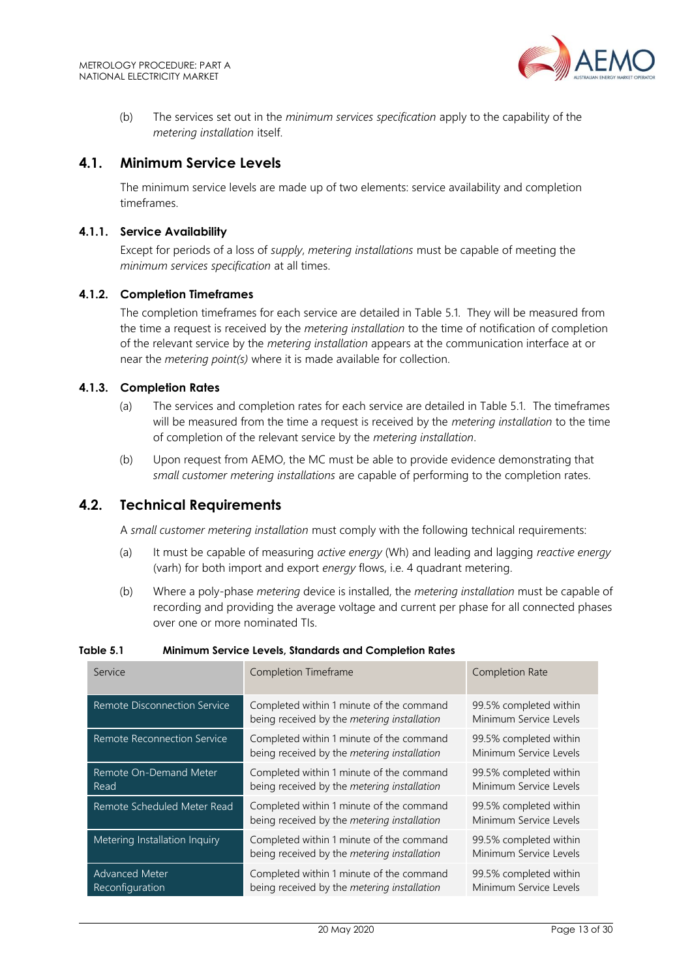

(b) The services set out in the *minimum services specification* apply to the capability of the *metering installation* itself.

#### <span id="page-12-0"></span>**4.1. Minimum Service Levels**

The minimum service levels are made up of two elements: service availability and completion timeframes.

#### **4.1.1. Service Availability**

Except for periods of a loss of *supply*, *metering installations* must be capable of meeting the *minimum services specification* at all times.

#### **4.1.2. Completion Timeframes**

The completion timeframes for each service are detailed in Table 5.1. They will be measured from the time a request is received by the *metering installation* to the time of notification of completion of the relevant service by the *metering installation* appears at the communication interface at or near the *metering point(s)* where it is made available for collection.

#### **4.1.3. Completion Rates**

- (a) The services and completion rates for each service are detailed in Table 5.1. The timeframes will be measured from the time a request is received by the *metering installation* to the time of completion of the relevant service by the *metering installation*.
- (b) Upon request from AEMO, the MC must be able to provide evidence demonstrating that *small customer metering installations* are capable of performing to the completion rates.

#### <span id="page-12-1"></span>**4.2. Technical Requirements**

A *small customer metering installation* must comply with the following technical requirements:

- (a) It must be capable of measuring *active energy* (Wh) and leading and lagging *reactive energy* (varh) for both import and export *energy* flows, i.e. 4 quadrant metering.
- (b) Where a poly-phase *metering* device is installed, the *metering installation* must be capable of recording and providing the average voltage and current per phase for all connected phases over one or more nominated TIs.

| Service                                  | Completion Timeframe                                                                                                                        | Completion Rate                                                                                      |  |
|------------------------------------------|---------------------------------------------------------------------------------------------------------------------------------------------|------------------------------------------------------------------------------------------------------|--|
| Remote Disconnection Service             | Completed within 1 minute of the command<br>being received by the metering installation                                                     | 99.5% completed within<br>Minimum Service Levels<br>99.5% completed within<br>Minimum Service Levels |  |
| Remote Reconnection Service              | Completed within 1 minute of the command<br>being received by the metering installation                                                     |                                                                                                      |  |
| Remote On-Demand Meter<br>Read           | Completed within 1 minute of the command<br>being received by the metering installation                                                     | 99.5% completed within<br>Minimum Service Levels                                                     |  |
| Remote Scheduled Meter Read              | Completed within 1 minute of the command<br>being received by the metering installation                                                     | 99.5% completed within<br>Minimum Service Levels                                                     |  |
| Metering Installation Inquiry            | Completed within 1 minute of the command<br>99.5% completed within<br>being received by the metering installation<br>Minimum Service Levels |                                                                                                      |  |
| <b>Advanced Meter</b><br>Reconfiguration | Completed within 1 minute of the command<br>being received by the metering installation                                                     | 99.5% completed within<br>Minimum Service Levels                                                     |  |

#### **Table 5.1 Minimum Service Levels, Standards and Completion Rates**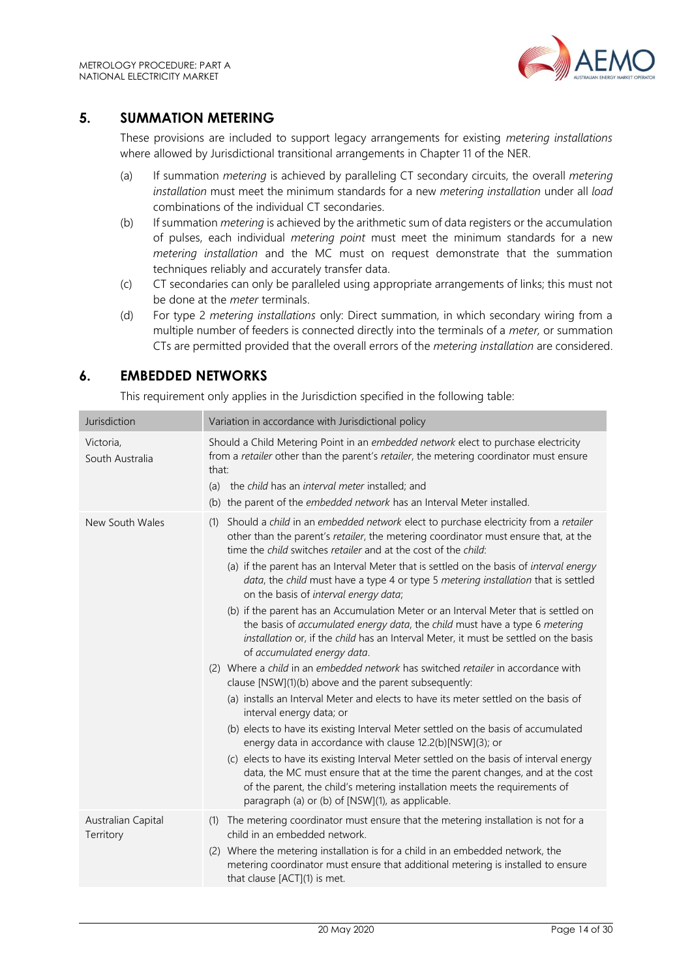

## <span id="page-13-0"></span>**5. SUMMATION METERING**

These provisions are included to support legacy arrangements for existing *metering installations* where allowed by Jurisdictional transitional arrangements in Chapter 11 of the NER.

- (a) If summation *metering* is achieved by paralleling CT secondary circuits, the overall *metering installation* must meet the minimum standards for a new *metering installation* under all *load* combinations of the individual CT secondaries.
- (b) If summation *metering* is achieved by the arithmetic sum of data registers or the accumulation of pulses, each individual *metering point* must meet the minimum standards for a new *metering installation* and the MC must on request demonstrate that the summation techniques reliably and accurately transfer data.
- (c) CT secondaries can only be paralleled using appropriate arrangements of links; this must not be done at the *meter* terminals.
- (d) For type 2 *metering installations* only: Direct summation, in which secondary wiring from a multiple number of feeders is connected directly into the terminals of a *meter,* or summation CTs are permitted provided that the overall errors of the *metering installation* are considered.

# <span id="page-13-1"></span>**6. EMBEDDED NETWORKS**

This requirement only applies in the Jurisdiction specified in the following table:

| Jurisdiction                    | Variation in accordance with Jurisdictional policy                                                                                                                                                                                                                                                                                                                                                                                                                                                                                                                                                                                                                                                                                                                                                                                                                                                                                                                                                                                                                                                                                                                                                                                                                                                                                                                                                                                                                                                          |  |
|---------------------------------|-------------------------------------------------------------------------------------------------------------------------------------------------------------------------------------------------------------------------------------------------------------------------------------------------------------------------------------------------------------------------------------------------------------------------------------------------------------------------------------------------------------------------------------------------------------------------------------------------------------------------------------------------------------------------------------------------------------------------------------------------------------------------------------------------------------------------------------------------------------------------------------------------------------------------------------------------------------------------------------------------------------------------------------------------------------------------------------------------------------------------------------------------------------------------------------------------------------------------------------------------------------------------------------------------------------------------------------------------------------------------------------------------------------------------------------------------------------------------------------------------------------|--|
| Victoria,<br>South Australia    | Should a Child Metering Point in an embedded network elect to purchase electricity<br>from a retailer other than the parent's retailer, the metering coordinator must ensure<br>that:<br>(a) the child has an interval meter installed; and<br>(b) the parent of the embedded network has an Interval Meter installed.                                                                                                                                                                                                                                                                                                                                                                                                                                                                                                                                                                                                                                                                                                                                                                                                                                                                                                                                                                                                                                                                                                                                                                                      |  |
| New South Wales                 | Should a child in an embedded network elect to purchase electricity from a retailer<br>(1)<br>other than the parent's retailer, the metering coordinator must ensure that, at the<br>time the child switches retailer and at the cost of the child:<br>(a) if the parent has an Interval Meter that is settled on the basis of interval energy<br>data, the child must have a type 4 or type 5 metering installation that is settled<br>on the basis of interval energy data;<br>(b) if the parent has an Accumulation Meter or an Interval Meter that is settled on<br>the basis of accumulated energy data, the child must have a type 6 metering<br>installation or, if the child has an Interval Meter, it must be settled on the basis<br>of accumulated energy data.<br>(2) Where a child in an embedded network has switched retailer in accordance with<br>clause [NSW](1)(b) above and the parent subsequently:<br>(a) installs an Interval Meter and elects to have its meter settled on the basis of<br>interval energy data; or<br>(b) elects to have its existing Interval Meter settled on the basis of accumulated<br>energy data in accordance with clause 12.2(b)[NSW](3); or<br>(c) elects to have its existing Interval Meter settled on the basis of interval energy<br>data, the MC must ensure that at the time the parent changes, and at the cost<br>of the parent, the child's metering installation meets the requirements of<br>paragraph (a) or (b) of [NSW](1), as applicable. |  |
| Australian Capital<br>Territory | The metering coordinator must ensure that the metering installation is not for a<br>(1)<br>child in an embedded network.<br>(2) Where the metering installation is for a child in an embedded network, the<br>metering coordinator must ensure that additional metering is installed to ensure<br>that clause [ACT](1) is met.                                                                                                                                                                                                                                                                                                                                                                                                                                                                                                                                                                                                                                                                                                                                                                                                                                                                                                                                                                                                                                                                                                                                                                              |  |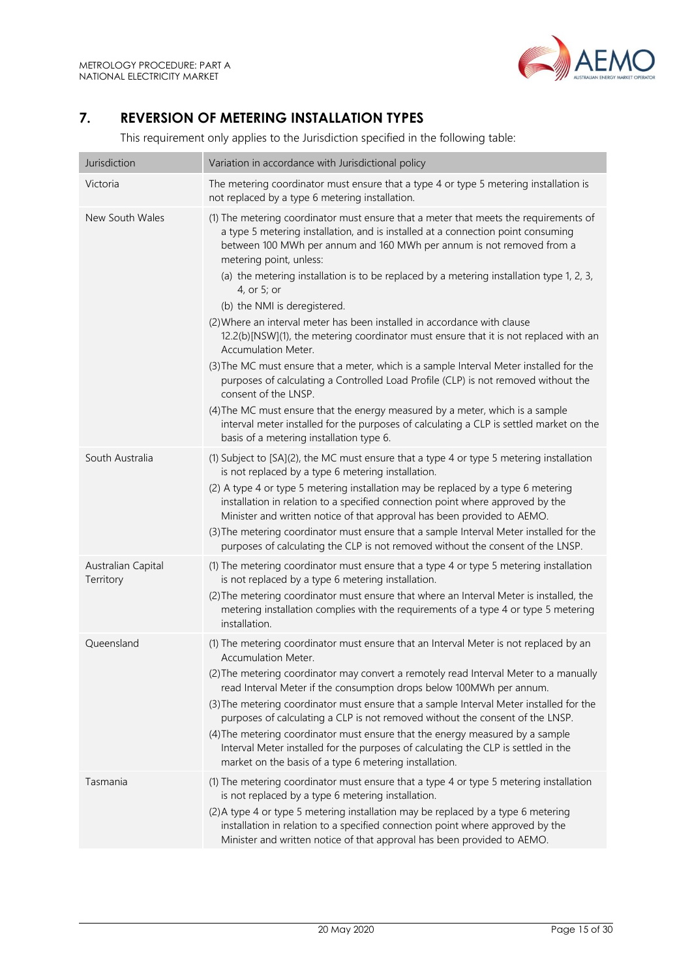

# <span id="page-14-0"></span>**7. REVERSION OF METERING INSTALLATION TYPES**

This requirement only applies to the Jurisdiction specified in the following table:

| Jurisdiction                    | Variation in accordance with Jurisdictional policy                                                                                                                                                                                                                                                                                                                                                                                                                                                                                                                                                                                                                                                                                                                                                                                                                                                                                                                                                                                                          |  |
|---------------------------------|-------------------------------------------------------------------------------------------------------------------------------------------------------------------------------------------------------------------------------------------------------------------------------------------------------------------------------------------------------------------------------------------------------------------------------------------------------------------------------------------------------------------------------------------------------------------------------------------------------------------------------------------------------------------------------------------------------------------------------------------------------------------------------------------------------------------------------------------------------------------------------------------------------------------------------------------------------------------------------------------------------------------------------------------------------------|--|
| Victoria                        | The metering coordinator must ensure that a type 4 or type 5 metering installation is<br>not replaced by a type 6 metering installation.                                                                                                                                                                                                                                                                                                                                                                                                                                                                                                                                                                                                                                                                                                                                                                                                                                                                                                                    |  |
| New South Wales                 | (1) The metering coordinator must ensure that a meter that meets the requirements of<br>a type 5 metering installation, and is installed at a connection point consuming<br>between 100 MWh per annum and 160 MWh per annum is not removed from a<br>metering point, unless:<br>(a) the metering installation is to be replaced by a metering installation type 1, 2, 3,<br>4, or 5; or<br>(b) the NMI is deregistered.<br>(2) Where an interval meter has been installed in accordance with clause<br>12.2(b)[NSW](1), the metering coordinator must ensure that it is not replaced with an<br><b>Accumulation Meter.</b><br>(3) The MC must ensure that a meter, which is a sample Interval Meter installed for the<br>purposes of calculating a Controlled Load Profile (CLP) is not removed without the<br>consent of the LNSP.<br>(4) The MC must ensure that the energy measured by a meter, which is a sample<br>interval meter installed for the purposes of calculating a CLP is settled market on the<br>basis of a metering installation type 6. |  |
| South Australia                 | (1) Subject to [SA](2), the MC must ensure that a type 4 or type 5 metering installation<br>is not replaced by a type 6 metering installation.<br>(2) A type 4 or type 5 metering installation may be replaced by a type 6 metering<br>installation in relation to a specified connection point where approved by the<br>Minister and written notice of that approval has been provided to AEMO.<br>(3) The metering coordinator must ensure that a sample Interval Meter installed for the<br>purposes of calculating the CLP is not removed without the consent of the LNSP.                                                                                                                                                                                                                                                                                                                                                                                                                                                                              |  |
| Australian Capital<br>Territory | (1) The metering coordinator must ensure that a type 4 or type 5 metering installation<br>is not replaced by a type 6 metering installation.<br>(2) The metering coordinator must ensure that where an Interval Meter is installed, the<br>metering installation complies with the requirements of a type 4 or type 5 metering<br>installation.                                                                                                                                                                                                                                                                                                                                                                                                                                                                                                                                                                                                                                                                                                             |  |
| Queensland                      | (1) The metering coordinator must ensure that an Interval Meter is not replaced by an<br>Accumulation Meter.<br>(2) The metering coordinator may convert a remotely read Interval Meter to a manually<br>read Interval Meter if the consumption drops below 100MWh per annum.<br>(3) The metering coordinator must ensure that a sample Interval Meter installed for the<br>purposes of calculating a CLP is not removed without the consent of the LNSP.<br>(4) The metering coordinator must ensure that the energy measured by a sample<br>Interval Meter installed for the purposes of calculating the CLP is settled in the<br>market on the basis of a type 6 metering installation.                                                                                                                                                                                                                                                                                                                                                                  |  |
| Tasmania                        | (1) The metering coordinator must ensure that a type 4 or type 5 metering installation<br>is not replaced by a type 6 metering installation.<br>(2) A type 4 or type 5 metering installation may be replaced by a type 6 metering<br>installation in relation to a specified connection point where approved by the<br>Minister and written notice of that approval has been provided to AEMO.                                                                                                                                                                                                                                                                                                                                                                                                                                                                                                                                                                                                                                                              |  |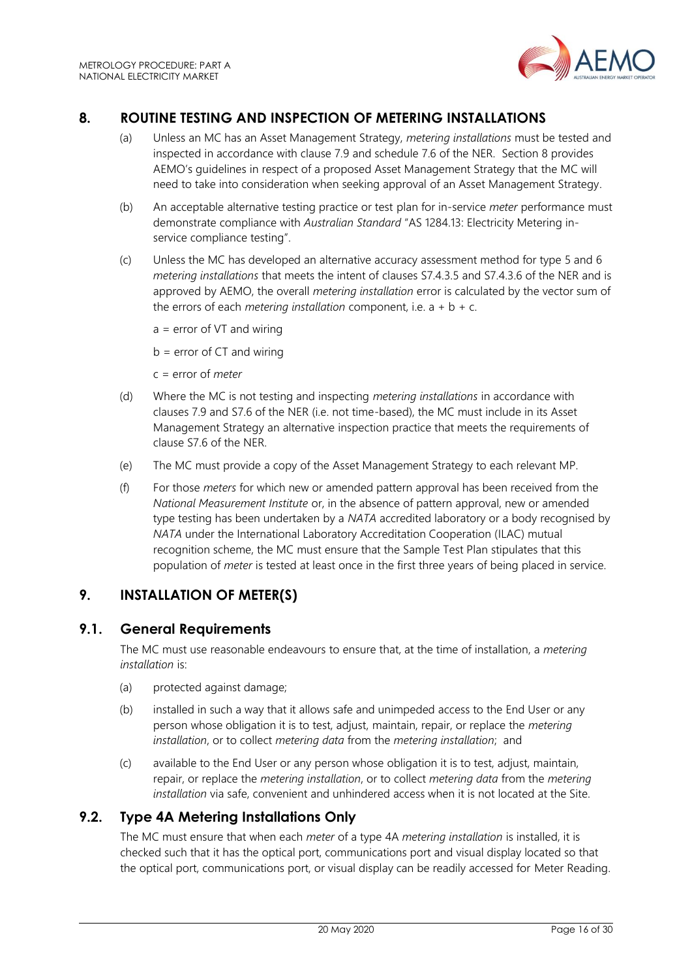

# <span id="page-15-0"></span>**8. ROUTINE TESTING AND INSPECTION OF METERING INSTALLATIONS**

- (a) Unless an MC has an Asset Management Strategy, *metering installations* must be tested and inspected in accordance with clause 7.9 and schedule 7.6 of the NER. Section 8 provides AEMO's guidelines in respect of a proposed Asset Management Strategy that the MC will need to take into consideration when seeking approval of an Asset Management Strategy.
- (b) An acceptable alternative testing practice or test plan for in-service *meter* performance must demonstrate compliance with *Australian Standard* "AS 1284.13: Electricity Metering inservice compliance testing".
- (c) Unless the MC has developed an alternative accuracy assessment method for type 5 and 6 *metering installations* that meets the intent of clauses S7.4.3.5 and S7.4.3.6 of the NER and is approved by AEMO, the overall *metering installation* error is calculated by the vector sum of the errors of each *metering installation* component, i.e.  $a + b + c$ .
	- $a = error of VT and wiring$
	- $b = error of CT and wiring$
	- c = error of *meter*
- (d) Where the MC is not testing and inspecting *metering installations* in accordance with clauses 7.9 and S7.6 of the NER (i.e. not time-based), the MC must include in its Asset Management Strategy an alternative inspection practice that meets the requirements of clause S7.6 of the NER.
- (e) The MC must provide a copy of the Asset Management Strategy to each relevant MP.
- (f) For those *meters* for which new or amended pattern approval has been received from the *National Measurement Institute* or, in the absence of pattern approval, new or amended type testing has been undertaken by a *NATA* accredited laboratory or a body recognised by *NATA* under the International Laboratory Accreditation Cooperation (ILAC) mutual recognition scheme, the MC must ensure that the Sample Test Plan stipulates that this population of *meter* is tested at least once in the first three years of being placed in service.

## <span id="page-15-1"></span>**9. INSTALLATION OF METER(S)**

### <span id="page-15-2"></span>**9.1. General Requirements**

The MC must use reasonable endeavours to ensure that, at the time of installation, a *metering installation* is:

- (a) protected against damage;
- (b) installed in such a way that it allows safe and unimpeded access to the End User or any person whose obligation it is to test, adjust, maintain, repair, or replace the *metering installation*, or to collect *metering data* from the *metering installation*; and
- (c) available to the End User or any person whose obligation it is to test, adjust, maintain, repair, or replace the *metering installation*, or to collect *metering data* from the *metering installation* via safe, convenient and unhindered access when it is not located at the Site.

### <span id="page-15-3"></span>**9.2. Type 4A Metering Installations Only**

The MC must ensure that when each *meter* of a type 4A *metering installation* is installed, it is checked such that it has the optical port, communications port and visual display located so that the optical port, communications port, or visual display can be readily accessed for Meter Reading.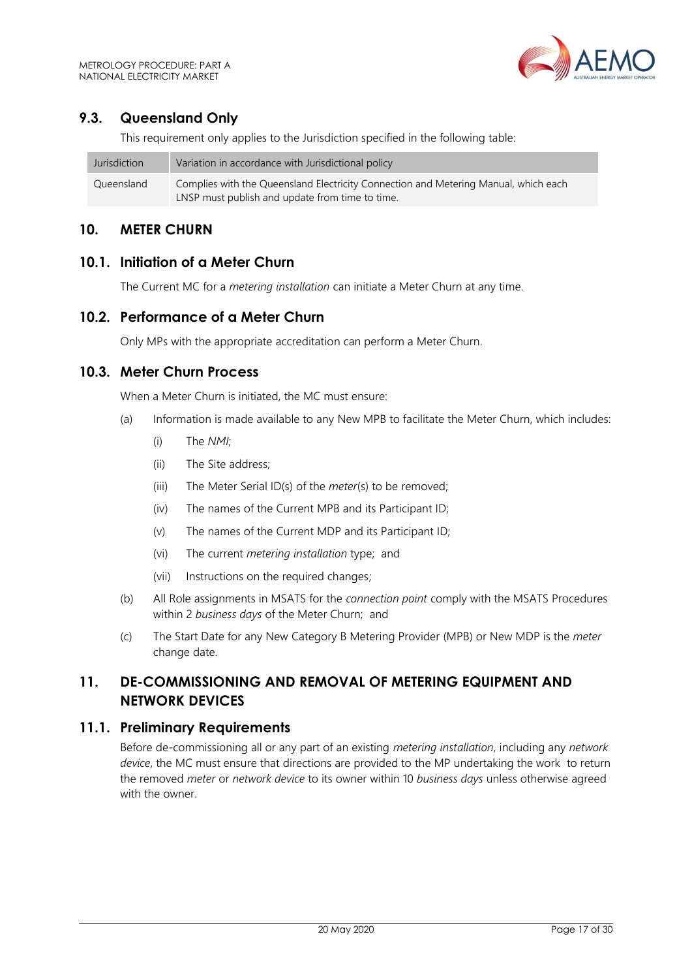# <span id="page-16-0"></span>**9.3. Queensland Only**

This requirement only applies to the Jurisdiction specified in the following table:

| Jurisdiction | Variation in accordance with Jurisdictional policy                                  |
|--------------|-------------------------------------------------------------------------------------|
| Queensland   | Complies with the Queensland Electricity Connection and Metering Manual, which each |
|              | LNSP must publish and update from time to time.                                     |

### <span id="page-16-1"></span>**10. METER CHURN**

#### <span id="page-16-2"></span>**10.1. Initiation of a Meter Churn**

The Current MC for a *metering installation* can initiate a Meter Churn at any time.

### <span id="page-16-3"></span>**10.2. Performance of a Meter Churn**

Only MPs with the appropriate accreditation can perform a Meter Churn.

#### <span id="page-16-4"></span>**10.3. Meter Churn Process**

When a Meter Churn is initiated, the MC must ensure:

- (a) Information is made available to any New MPB to facilitate the Meter Churn, which includes:
	- (i) The *NMI*;
	- (ii) The Site address;
	- (iii) The Meter Serial ID(s) of the *meter*(s) to be removed;
	- (iv) The names of the Current MPB and its Participant ID;
	- (v) The names of the Current MDP and its Participant ID;
	- (vi) The current *metering installation* type; and
	- (vii) Instructions on the required changes;
- (b) All Role assignments in MSATS for the *connection point* comply with the MSATS Procedures within 2 *business days* of the Meter Churn; and
- (c) The Start Date for any New Category B Metering Provider (MPB) or New MDP is the *meter* change date.

# <span id="page-16-5"></span>**11. DE-COMMISSIONING AND REMOVAL OF METERING EQUIPMENT AND NETWORK DEVICES**

#### <span id="page-16-6"></span>**11.1. Preliminary Requirements**

Before de-commissioning all or any part of an existing *metering installation*, including any *network device*, the MC must ensure that directions are provided to the MP undertaking the work to return the removed *meter* or *network device* to its owner within 10 *business days* unless otherwise agreed with the owner.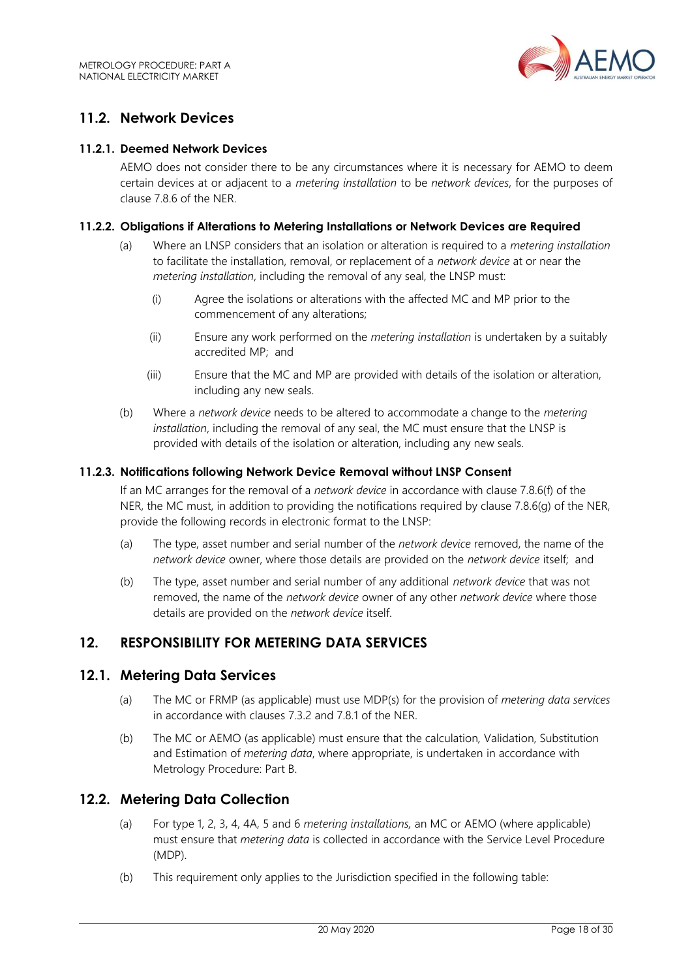

# <span id="page-17-0"></span>**11.2. Network Devices**

#### **11.2.1. Deemed Network Devices**

AEMO does not consider there to be any circumstances where it is necessary for AEMO to deem certain devices at or adjacent to a *metering installation* to be *network devices*, for the purposes of clause 7.8.6 of the NER.

#### **11.2.2. Obligations if Alterations to Metering Installations or Network Devices are Required**

- (a) Where an LNSP considers that an isolation or alteration is required to a *metering installation* to facilitate the installation, removal, or replacement of a *network device* at or near the *metering installation*, including the removal of any seal, the LNSP must:
	- (i) Agree the isolations or alterations with the affected MC and MP prior to the commencement of any alterations;
	- (ii) Ensure any work performed on the *metering installation* is undertaken by a suitably accredited MP; and
	- (iii) Ensure that the MC and MP are provided with details of the isolation or alteration, including any new seals.
- (b) Where a *network device* needs to be altered to accommodate a change to the *metering installation*, including the removal of any seal, the MC must ensure that the LNSP is provided with details of the isolation or alteration, including any new seals.

#### **11.2.3. Notifications following Network Device Removal without LNSP Consent**

If an MC arranges for the removal of a *network device* in accordance with clause 7.8.6(f) of the NER, the MC must, in addition to providing the notifications required by clause 7.8.6(g) of the NER. provide the following records in electronic format to the LNSP:

- (a) The type, asset number and serial number of the *network device* removed, the name of the *network device* owner, where those details are provided on the *network device* itself; and
- (b) The type, asset number and serial number of any additional *network device* that was not removed, the name of the *network device* owner of any other *network device* where those details are provided on the *network device* itself.

#### <span id="page-17-1"></span>**12. RESPONSIBILITY FOR METERING DATA SERVICES**

#### <span id="page-17-2"></span>**12.1. Metering Data Services**

- (a) The MC or FRMP (as applicable) must use MDP(s) for the provision of *metering data services* in accordance with clauses 7.3.2 and 7.8.1 of the NER.
- (b) The MC or AEMO (as applicable) must ensure that the calculation*,* Validation, Substitution and Estimation of *metering data*, where appropriate, is undertaken in accordance with Metrology Procedure: Part B.

#### <span id="page-17-3"></span>**12.2. Metering Data Collection**

- (a) For type 1, 2, 3, 4, 4A, 5 and 6 *metering installations,* an MC or AEMO (where applicable) must ensure that *metering data* is collected in accordance with the Service Level Procedure (MDP).
- (b) This requirement only applies to the Jurisdiction specified in the following table: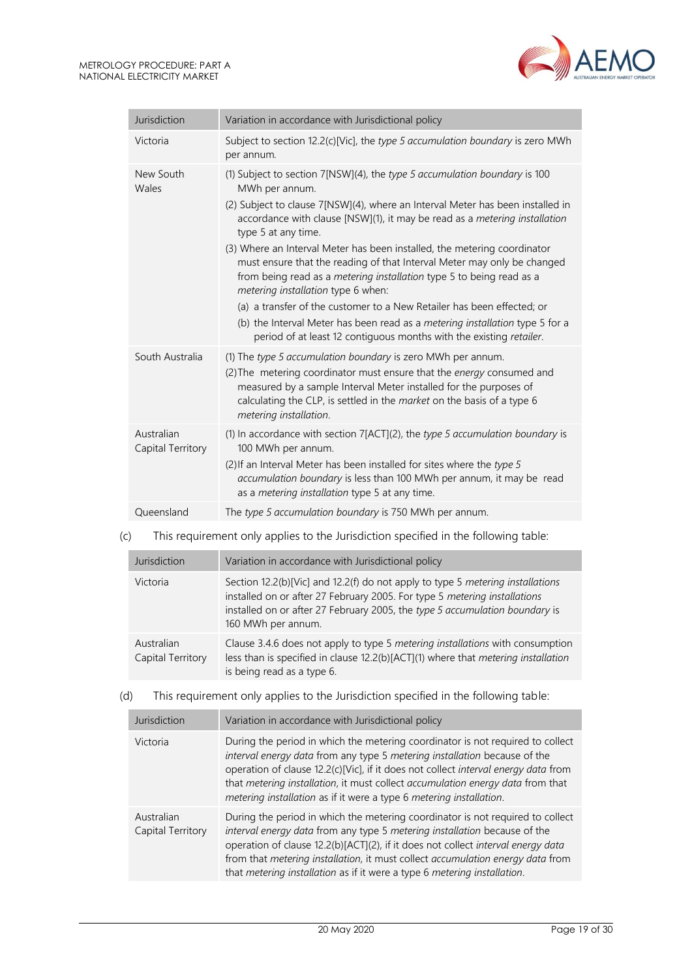

| Jurisdiction                    | Variation in accordance with Jurisdictional policy                                                                                                                                                                                                                                                                                                                                                                                                                                                                                                                                                                                                                                                                                                                                              |  |  |  |
|---------------------------------|-------------------------------------------------------------------------------------------------------------------------------------------------------------------------------------------------------------------------------------------------------------------------------------------------------------------------------------------------------------------------------------------------------------------------------------------------------------------------------------------------------------------------------------------------------------------------------------------------------------------------------------------------------------------------------------------------------------------------------------------------------------------------------------------------|--|--|--|
| Victoria                        | Subject to section 12.2(c)[Vic], the type 5 accumulation boundary is zero MWh<br>per annum.                                                                                                                                                                                                                                                                                                                                                                                                                                                                                                                                                                                                                                                                                                     |  |  |  |
| New South<br>Wales              | (1) Subject to section 7[NSW](4), the type 5 accumulation boundary is 100<br>MWh per annum.<br>(2) Subject to clause 7[NSW](4), where an Interval Meter has been installed in<br>accordance with clause [NSW](1), it may be read as a metering installation<br>type 5 at any time.<br>(3) Where an Interval Meter has been installed, the metering coordinator<br>must ensure that the reading of that Interval Meter may only be changed<br>from being read as a <i>metering installation</i> type 5 to being read as a<br>metering installation type 6 when:<br>(a) a transfer of the customer to a New Retailer has been effected; or<br>(b) the Interval Meter has been read as a metering installation type 5 for a<br>period of at least 12 contiguous months with the existing retailer. |  |  |  |
| South Australia                 | (1) The type 5 accumulation boundary is zero MWh per annum.<br>(2) The metering coordinator must ensure that the energy consumed and<br>measured by a sample Interval Meter installed for the purposes of<br>calculating the CLP, is settled in the market on the basis of a type 6<br>metering installation.                                                                                                                                                                                                                                                                                                                                                                                                                                                                                   |  |  |  |
| Australian<br>Capital Territory | (1) In accordance with section $7[ACT](2)$ , the type 5 accumulation boundary is<br>100 MWh per annum.<br>(2) If an Interval Meter has been installed for sites where the type 5<br>accumulation boundary is less than 100 MWh per annum, it may be read<br>as a <i>metering installation</i> type 5 at any time.                                                                                                                                                                                                                                                                                                                                                                                                                                                                               |  |  |  |
| Oueensland                      | The type 5 accumulation boundary is 750 MWh per annum.                                                                                                                                                                                                                                                                                                                                                                                                                                                                                                                                                                                                                                                                                                                                          |  |  |  |

## (c) This requirement only applies to the Jurisdiction specified in the following table:

| Jurisdiction                    | Variation in accordance with Jurisdictional policy                                                                                                                                                                                                               |  |  |
|---------------------------------|------------------------------------------------------------------------------------------------------------------------------------------------------------------------------------------------------------------------------------------------------------------|--|--|
| Victoria                        | Section 12.2(b)[Vic] and 12.2(f) do not apply to type 5 metering installations<br>installed on or after 27 February 2005. For type 5 metering installations<br>installed on or after 27 February 2005, the type 5 accumulation boundary is<br>160 MWh per annum. |  |  |
| Australian<br>Capital Territory | Clause 3.4.6 does not apply to type 5 metering installations with consumption<br>less than is specified in clause 12.2(b)[ACT](1) where that metering installation<br>is being read as a type 6.                                                                 |  |  |

#### (d) This requirement only applies to the Jurisdiction specified in the following table:

| Variation in accordance with Jurisdictional policy<br>Jurisdiction |                                                                                                                                                                                                                                                                                                                                                                                                               |  |  |
|--------------------------------------------------------------------|---------------------------------------------------------------------------------------------------------------------------------------------------------------------------------------------------------------------------------------------------------------------------------------------------------------------------------------------------------------------------------------------------------------|--|--|
| Victoria                                                           | During the period in which the metering coordinator is not required to collect<br>interval energy data from any type 5 metering installation because of the<br>operation of clause 12.2(c)[Vic], if it does not collect interval energy data from<br>that metering installation, it must collect accumulation energy data from that<br>metering installation as if it were a type 6 metering installation.    |  |  |
| Australian<br>Capital Territory                                    | During the period in which the metering coordinator is not required to collect<br>interval energy data from any type 5 metering installation because of the<br>operation of clause 12.2(b)[ACT](2), if it does not collect interval energy data<br>from that metering installation, it must collect accumulation energy data from<br>that metering installation as if it were a type 6 metering installation. |  |  |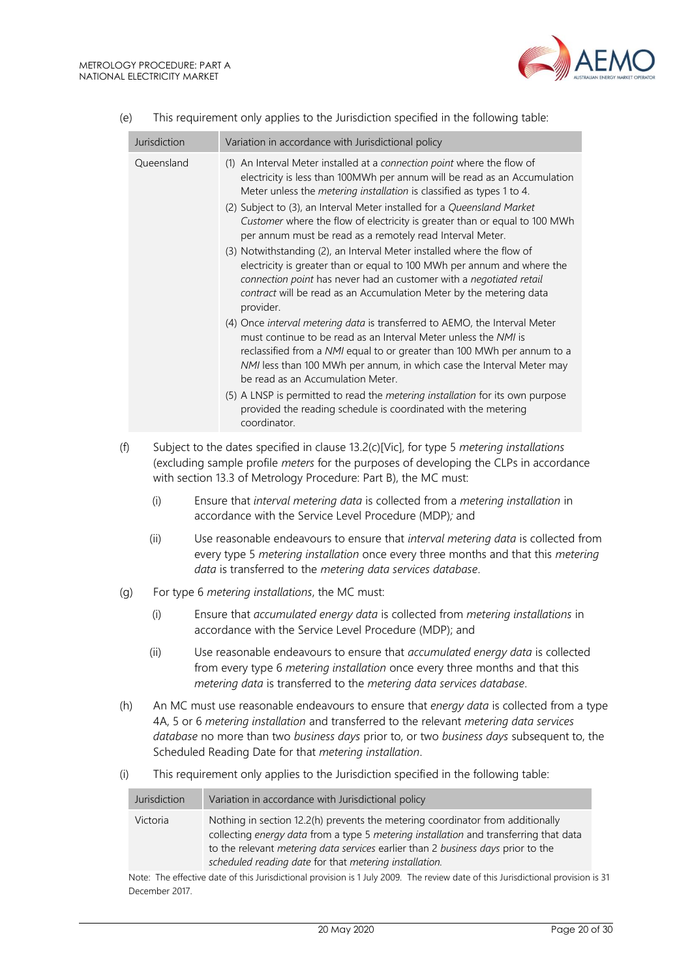

|     | Jurisdiction                                                                                                                                                                                                                                                                                                                               | Variation in accordance with Jurisdictional policy                                                                                                                                                                                                                                                                                                                                                                                                                                                                                                                                                                                                                                                                                                                                                                                                                                                                                                                                                                                                                                                                                                                                                                                                                               |  |  |
|-----|--------------------------------------------------------------------------------------------------------------------------------------------------------------------------------------------------------------------------------------------------------------------------------------------------------------------------------------------|----------------------------------------------------------------------------------------------------------------------------------------------------------------------------------------------------------------------------------------------------------------------------------------------------------------------------------------------------------------------------------------------------------------------------------------------------------------------------------------------------------------------------------------------------------------------------------------------------------------------------------------------------------------------------------------------------------------------------------------------------------------------------------------------------------------------------------------------------------------------------------------------------------------------------------------------------------------------------------------------------------------------------------------------------------------------------------------------------------------------------------------------------------------------------------------------------------------------------------------------------------------------------------|--|--|
|     | Queensland                                                                                                                                                                                                                                                                                                                                 | (1) An Interval Meter installed at a connection point where the flow of<br>electricity is less than 100MWh per annum will be read as an Accumulation<br>Meter unless the metering installation is classified as types 1 to 4.<br>(2) Subject to (3), an Interval Meter installed for a Queensland Market<br>Customer where the flow of electricity is greater than or equal to 100 MWh<br>per annum must be read as a remotely read Interval Meter.<br>(3) Notwithstanding (2), an Interval Meter installed where the flow of<br>electricity is greater than or equal to 100 MWh per annum and where the<br>connection point has never had an customer with a negotiated retail<br>contract will be read as an Accumulation Meter by the metering data<br>provider.<br>(4) Once interval metering data is transferred to AEMO, the Interval Meter<br>must continue to be read as an Interval Meter unless the NMI is<br>reclassified from a NMI equal to or greater than 100 MWh per annum to a<br>NMI less than 100 MWh per annum, in which case the Interval Meter may<br>be read as an Accumulation Meter.<br>(5) A LNSP is permitted to read the metering installation for its own purpose<br>provided the reading schedule is coordinated with the metering<br>coordinator. |  |  |
| (f) |                                                                                                                                                                                                                                                                                                                                            | Subject to the dates specified in clause 13.2(c)[Vic], for type 5 metering installations<br>(excluding sample profile meters for the purposes of developing the CLPs in accordance<br>with section 13.3 of Metrology Procedure: Part B), the MC must:                                                                                                                                                                                                                                                                                                                                                                                                                                                                                                                                                                                                                                                                                                                                                                                                                                                                                                                                                                                                                            |  |  |
|     | (i)                                                                                                                                                                                                                                                                                                                                        | Ensure that interval metering data is collected from a metering installation in<br>accordance with the Service Level Procedure (MDP); and                                                                                                                                                                                                                                                                                                                                                                                                                                                                                                                                                                                                                                                                                                                                                                                                                                                                                                                                                                                                                                                                                                                                        |  |  |
|     | (ii)                                                                                                                                                                                                                                                                                                                                       | Use reasonable endeavours to ensure that interval metering data is collected from<br>every type 5 metering installation once every three months and that this metering<br>data is transferred to the metering data services database.                                                                                                                                                                                                                                                                                                                                                                                                                                                                                                                                                                                                                                                                                                                                                                                                                                                                                                                                                                                                                                            |  |  |
| (g) |                                                                                                                                                                                                                                                                                                                                            | For type 6 metering installations, the MC must:                                                                                                                                                                                                                                                                                                                                                                                                                                                                                                                                                                                                                                                                                                                                                                                                                                                                                                                                                                                                                                                                                                                                                                                                                                  |  |  |
|     | (i)                                                                                                                                                                                                                                                                                                                                        | Ensure that accumulated energy data is collected from metering installations in<br>accordance with the Service Level Procedure (MDP); and                                                                                                                                                                                                                                                                                                                                                                                                                                                                                                                                                                                                                                                                                                                                                                                                                                                                                                                                                                                                                                                                                                                                        |  |  |
|     | (ii)                                                                                                                                                                                                                                                                                                                                       | Use reasonable endeavours to ensure that accumulated energy data is collected<br>from every type 6 metering installation once every three months and that this<br>metering data is transferred to the metering data services database.                                                                                                                                                                                                                                                                                                                                                                                                                                                                                                                                                                                                                                                                                                                                                                                                                                                                                                                                                                                                                                           |  |  |
| (h) | An MC must use reasonable endeavours to ensure that energy data is collected from a type<br>4A, 5 or 6 metering installation and transferred to the relevant metering data services<br>database no more than two business days prior to, or two business days subsequent to, the<br>Scheduled Reading Date for that metering installation. |                                                                                                                                                                                                                                                                                                                                                                                                                                                                                                                                                                                                                                                                                                                                                                                                                                                                                                                                                                                                                                                                                                                                                                                                                                                                                  |  |  |
| (i) |                                                                                                                                                                                                                                                                                                                                            | This requirement only applies to the Jurisdiction specified in the following table:                                                                                                                                                                                                                                                                                                                                                                                                                                                                                                                                                                                                                                                                                                                                                                                                                                                                                                                                                                                                                                                                                                                                                                                              |  |  |
|     | Jurisdiction                                                                                                                                                                                                                                                                                                                               | Variation in accordance with Jurisdictional policy                                                                                                                                                                                                                                                                                                                                                                                                                                                                                                                                                                                                                                                                                                                                                                                                                                                                                                                                                                                                                                                                                                                                                                                                                               |  |  |

#### (e) This requirement only applies to the Jurisdiction specified in the following table:

|                | to the relevant <i>metering data services</i> earlier than 2 business days prior to the                                          |  |  |
|----------------|----------------------------------------------------------------------------------------------------------------------------------|--|--|
|                | scheduled reading date for that metering installation.                                                                           |  |  |
|                | Note: The effective date of this Jurisdictional provision is 1 July 2009. The review date of this Jurisdictional provision is 31 |  |  |
| December 2017. |                                                                                                                                  |  |  |

collecting *energy data* from a type 5 *metering installation* and transferring that data

Victoria Nothing in section 12.2(h) prevents the metering coordinator from additionally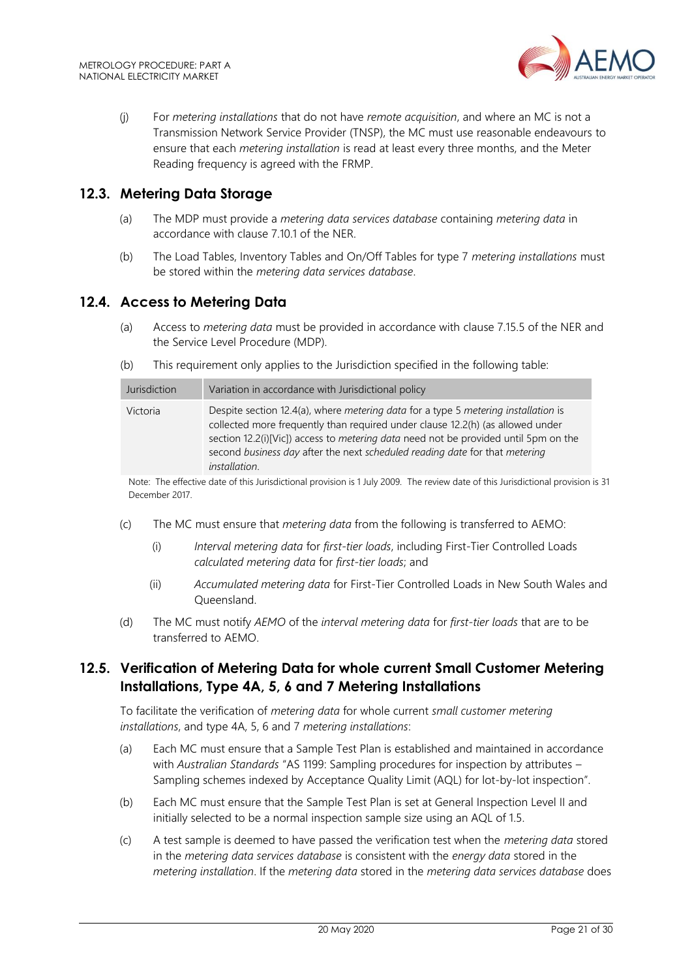

(j) For *metering installations* that do not have *remote acquisition*, and where an MC is not a Transmission Network Service Provider (TNSP), the MC must use reasonable endeavours to ensure that each *metering installation* is read at least every three months, and the Meter Reading frequency is agreed with the FRMP.

## <span id="page-20-0"></span>**12.3. Metering Data Storage**

- (a) The MDP must provide a *metering data services database* containing *metering data* in accordance with clause 7.10.1 of the NER.
- (b) The Load Tables, Inventory Tables and On/Off Tables for type 7 *metering installations* must be stored within the *metering data services database*.

#### <span id="page-20-1"></span>**12.4. Access to Metering Data**

- (a) Access to *metering data* must be provided in accordance with clause 7.15.5 of the NER and the Service Level Procedure (MDP).
- (b) This requirement only applies to the Jurisdiction specified in the following table:

| Jurisdiction | Variation in accordance with Jurisdictional policy                                                                                                                                                                                                                                                                                                                               |
|--------------|----------------------------------------------------------------------------------------------------------------------------------------------------------------------------------------------------------------------------------------------------------------------------------------------------------------------------------------------------------------------------------|
| Victoria     | Despite section 12.4(a), where <i>metering data</i> for a type 5 <i>metering installation</i> is<br>collected more frequently than required under clause 12.2(h) (as allowed under<br>section 12.2(i)[Vic]) access to metering data need not be provided until 5pm on the<br>second business day after the next scheduled reading date for that metering<br><i>installation.</i> |

Note: The effective date of this Jurisdictional provision is 1 July 2009. The review date of this Jurisdictional provision is 31 December 2017.

- (c) The MC must ensure that *metering data* from the following is transferred to AEMO:
	- (i) *Interval metering data* for *first-tier loads*, including First-Tier Controlled Loads *calculated metering data* for *first-tier loads*; and
	- (ii) *Accumulated metering data* for First-Tier Controlled Loads in New South Wales and Queensland.
- (d) The MC must notify *AEMO* of the *interval metering data* for *first-tier loads* that are to be transferred to AEMO.

# <span id="page-20-2"></span>**12.5. Verification of Metering Data for whole current Small Customer Metering Installations, Type 4A, 5, 6 and 7 Metering Installations**

To facilitate the verification of *metering data* for whole current *small customer metering installations*, and type 4A, 5, 6 and 7 *metering installations*:

- (a) Each MC must ensure that a Sample Test Plan is established and maintained in accordance with *Australian Standards* "AS 1199: Sampling procedures for inspection by attributes – Sampling schemes indexed by Acceptance Quality Limit (AQL) for lot-by-lot inspection".
- (b) Each MC must ensure that the Sample Test Plan is set at General Inspection Level II and initially selected to be a normal inspection sample size using an AQL of 1.5.
- (c) A test sample is deemed to have passed the verification test when the *metering data* stored in the *metering data services database* is consistent with the *energy data* stored in the *metering installation*. If the *metering data* stored in the *metering data services database* does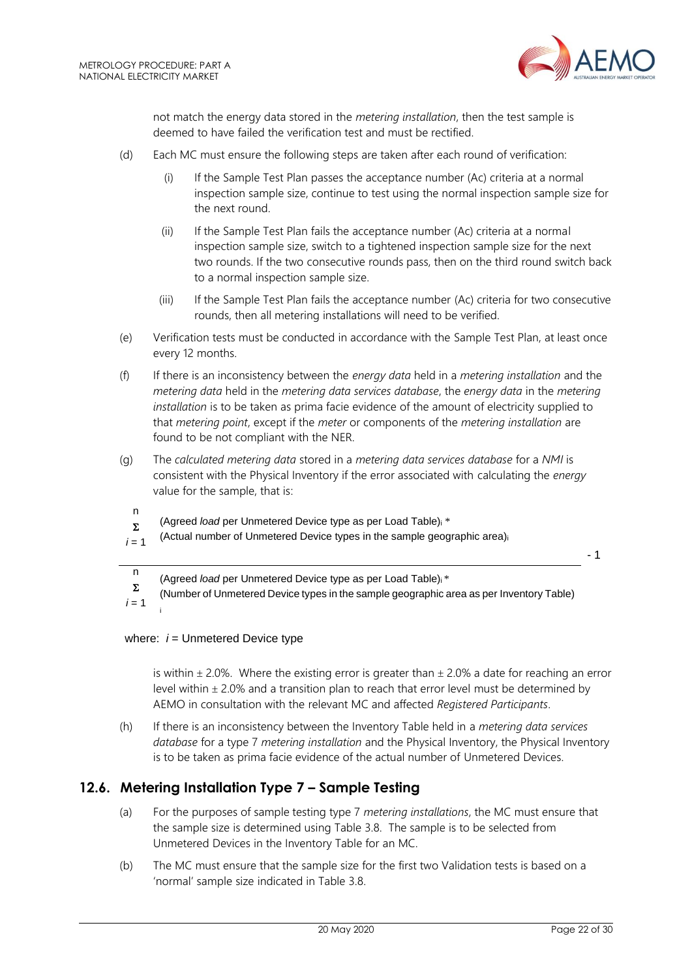

not match the energy data stored in the *metering installation*, then the test sample is deemed to have failed the verification test and must be rectified.

- (d) Each MC must ensure the following steps are taken after each round of verification:
	- (i) If the Sample Test Plan passes the acceptance number (Ac) criteria at a normal inspection sample size, continue to test using the normal inspection sample size for the next round.
	- (ii) If the Sample Test Plan fails the acceptance number (Ac) criteria at a normal inspection sample size, switch to a tightened inspection sample size for the next two rounds. If the two consecutive rounds pass, then on the third round switch back to a normal inspection sample size.
	- (iii) If the Sample Test Plan fails the acceptance number (Ac) criteria for two consecutive rounds, then all metering installations will need to be verified.
- (e) Verification tests must be conducted in accordance with the Sample Test Plan, at least once every 12 months.
- (f) If there is an inconsistency between the *energy data* held in a *metering installation* and the *metering data* held in the *metering data services database*, the *energy data* in the *metering installation* is to be taken as prima facie evidence of the amount of electricity supplied to that *metering point*, except if the *meter* or components of the *metering installation* are found to be not compliant with the NER.
- (g) The *calculated metering data* stored in a *metering data services database* for a *NMI* is consistent with the Physical Inventory if the error associated with calculating the *energy* value for the sample, that is:
	- n  $\Sigma$ (Agreed *load* per Unmetered Device type as per Load Table)<sup>i</sup> \*
- $i = 1$ (Actual number of Unmetered Device types in the sample geographic area)<sup>i</sup>

- 1

n (Agreed *load* per Unmetered Device type as per Load Table)i \*

 $\Sigma$ (Number of Unmetered Device types in the sample geographic area as per Inventory Table)

 $i = 1$ i

#### where:  $i =$  Unmetered Device type

is within  $\pm$  2.0%. Where the existing error is greater than  $\pm$  2.0% a date for reaching an error level within  $\pm$  2.0% and a transition plan to reach that error level must be determined by AEMO in consultation with the relevant MC and affected *Registered Participants*.

(h) If there is an inconsistency between the Inventory Table held in a *metering data services database* for a type 7 *metering installation* and the Physical Inventory, the Physical Inventory is to be taken as prima facie evidence of the actual number of Unmetered Devices.

# <span id="page-21-0"></span>**12.6. Metering Installation Type 7 – Sample Testing**

- (a) For the purposes of sample testing type 7 *metering installations*, the MC must ensure that the sample size is determined using Table 3.8. The sample is to be selected from Unmetered Devices in the Inventory Table for an MC.
- (b) The MC must ensure that the sample size for the first two Validation tests is based on a 'normal' sample size indicated in Table 3.8.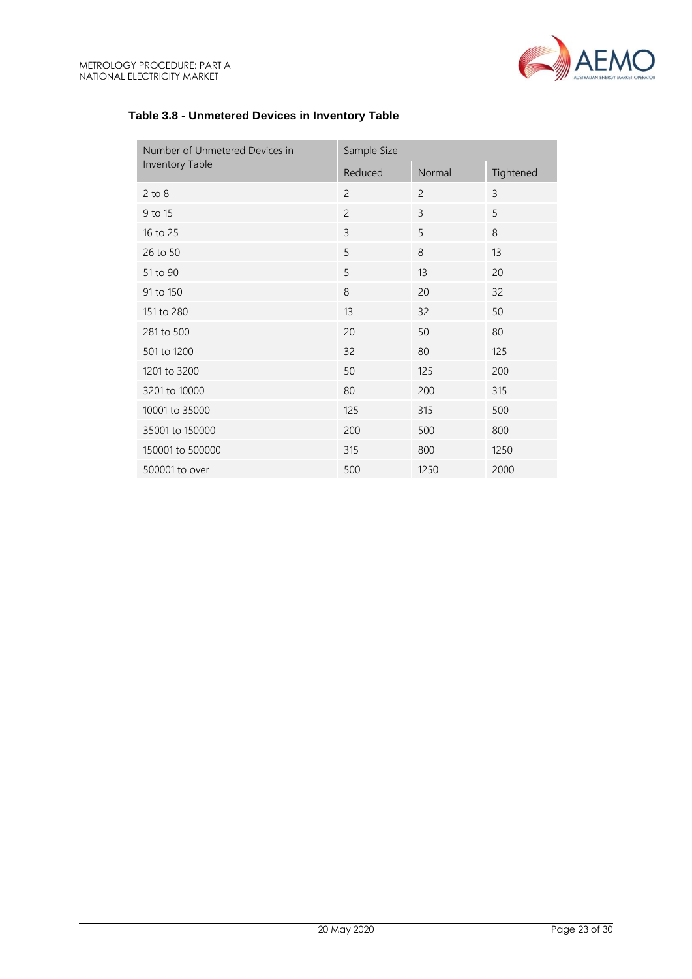

| Number of Unmetered Devices in | Sample Size    |                |           |
|--------------------------------|----------------|----------------|-----------|
| Inventory Table                | Reduced        | Normal         | Tightened |
| $2$ to $8$                     | $\overline{c}$ | $\overline{2}$ | 3         |
| 9 to 15                        | $\overline{c}$ | 3              | 5         |
| 16 to 25                       | 3              | 5              | 8         |
| 26 to 50                       | 5              | 8              | 13        |
| 51 to 90                       | 5              | 13             | 20        |
| 91 to 150                      | 8              | 20             | 32        |
| 151 to 280                     | 13             | 32             | 50        |
| 281 to 500                     | 20             | 50             | 80        |
| 501 to 1200                    | 32             | 80             | 125       |
| 1201 to 3200                   | 50             | 125            | 200       |
| 3201 to 10000                  | 80             | 200            | 315       |
| 10001 to 35000                 | 125            | 315            | 500       |
| 35001 to 150000                | 200            | 500            | 800       |
| 150001 to 500000               | 315            | 800            | 1250      |
| 500001 to over                 | 500            | 1250           | 2000      |

## **Table 3.8** - **Unmetered Devices in Inventory Table**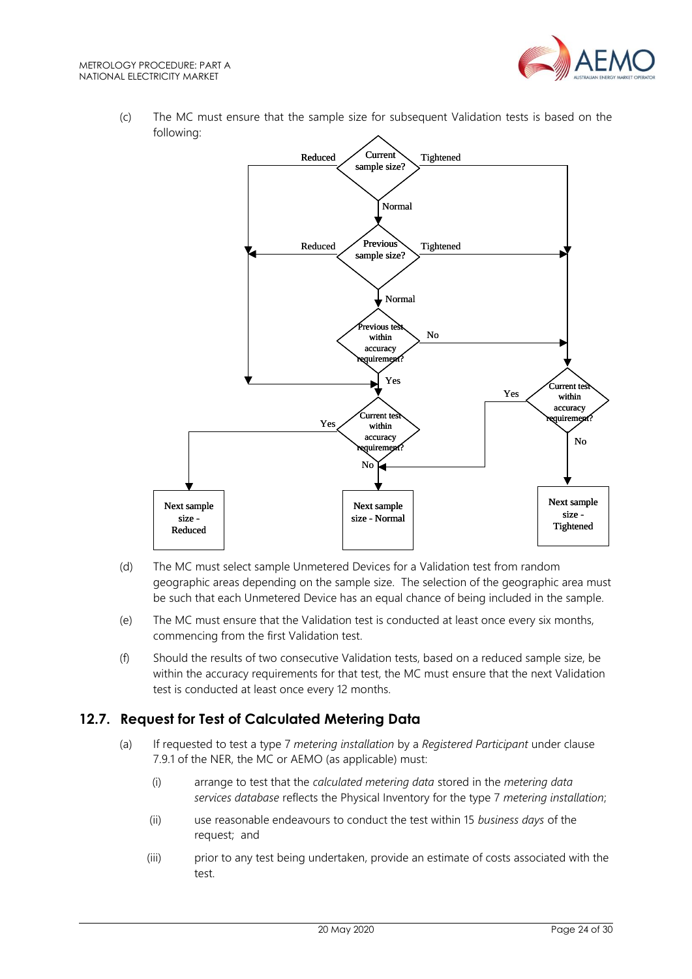

(c) The MC must ensure that the sample size for subsequent Validation tests is based on the following:



- (d) The MC must select sample Unmetered Devices for a Validation test from random geographic areas depending on the sample size. The selection of the geographic area must be such that each Unmetered Device has an equal chance of being included in the sample.
- (e) The MC must ensure that the Validation test is conducted at least once every six months, commencing from the first Validation test.
- (f) Should the results of two consecutive Validation tests, based on a reduced sample size, be within the accuracy requirements for that test, the MC must ensure that the next Validation test is conducted at least once every 12 months.

# <span id="page-23-0"></span>**12.7. Request for Test of Calculated Metering Data**

- (a) If requested to test a type 7 *metering installation* by a *Registered Participant* under clause 7.9.1 of the NER, the MC or AEMO (as applicable) must:
	- (i) arrange to test that the *calculated metering data* stored in the *metering data services database* reflects the Physical Inventory for the type 7 *metering installation*;
	- (ii) use reasonable endeavours to conduct the test within 15 *business days* of the request; and
	- (iii) prior to any test being undertaken, provide an estimate of costs associated with the test.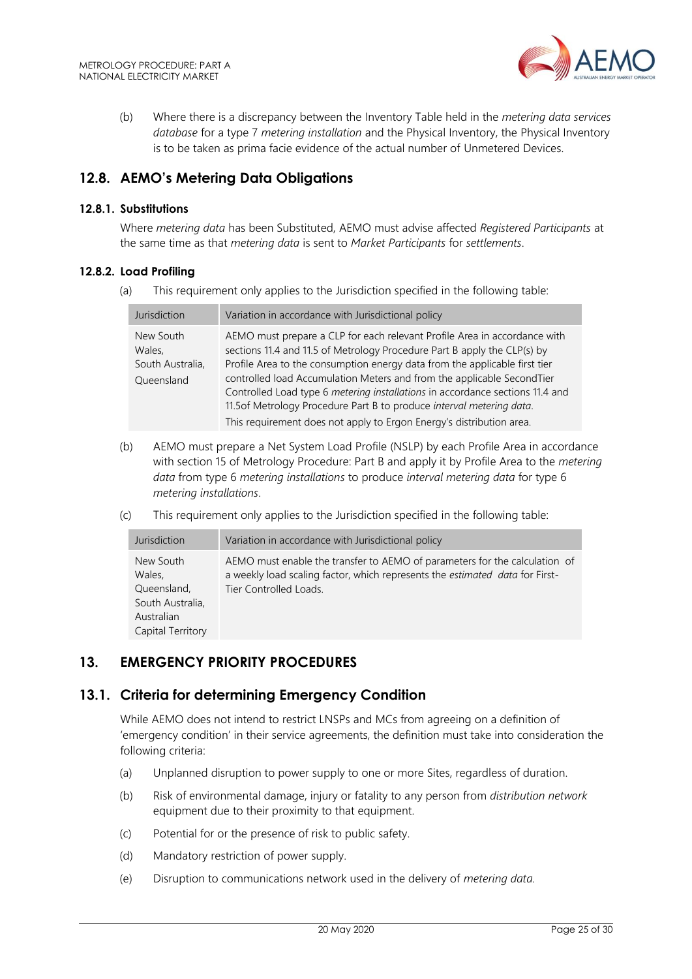

(b) Where there is a discrepancy between the Inventory Table held in the *metering data services database* for a type 7 *metering installation* and the Physical Inventory, the Physical Inventory is to be taken as prima facie evidence of the actual number of Unmetered Devices.

# <span id="page-24-0"></span>**12.8. AEMO's Metering Data Obligations**

#### **12.8.1. Substitutions**

Where *metering data* has been Substituted, AEMO must advise affected *Registered Participants* at the same time as that *metering data* is sent to *Market Participants* for *settlements*.

#### **12.8.2. Load Profiling**

(a) This requirement only applies to the Jurisdiction specified in the following table:

| Jurisdiction                                          | Variation in accordance with Jurisdictional policy                                                                                                                                                                                                                                                                                                                                                                                                                                                                                              |
|-------------------------------------------------------|-------------------------------------------------------------------------------------------------------------------------------------------------------------------------------------------------------------------------------------------------------------------------------------------------------------------------------------------------------------------------------------------------------------------------------------------------------------------------------------------------------------------------------------------------|
| New South<br>Wales,<br>South Australia,<br>Queensland | AEMO must prepare a CLP for each relevant Profile Area in accordance with<br>sections 11.4 and 11.5 of Metrology Procedure Part B apply the CLP(s) by<br>Profile Area to the consumption energy data from the applicable first tier<br>controlled load Accumulation Meters and from the applicable SecondTier<br>Controlled Load type 6 metering installations in accordance sections 11.4 and<br>11.5 of Metrology Procedure Part B to produce interval metering data.<br>This requirement does not apply to Ergon Energy's distribution area. |

- (b) AEMO must prepare a Net System Load Profile (NSLP) by each Profile Area in accordance with section 15 of Metrology Procedure: Part B and apply it by Profile Area to the *metering data* from type 6 *metering installations* to produce *interval metering data* for type 6 *metering installations*.
- (c) This requirement only applies to the Jurisdiction specified in the following table:

| Jurisdiction                                                                              | Variation in accordance with Jurisdictional policy                                                                                                                                   |
|-------------------------------------------------------------------------------------------|--------------------------------------------------------------------------------------------------------------------------------------------------------------------------------------|
| New South<br>Wales.<br>Queensland,<br>South Australia,<br>Australian<br>Capital Territory | AEMO must enable the transfer to AEMO of parameters for the calculation of<br>a weekly load scaling factor, which represents the estimated data for First-<br>Tier Controlled Loads. |

# <span id="page-24-1"></span>**13. EMERGENCY PRIORITY PROCEDURES**

### <span id="page-24-2"></span>**13.1. Criteria for determining Emergency Condition**

While AEMO does not intend to restrict LNSPs and MCs from agreeing on a definition of 'emergency condition' in their service agreements, the definition must take into consideration the following criteria:

- (a) Unplanned disruption to power supply to one or more Sites, regardless of duration.
- (b) Risk of environmental damage, injury or fatality to any person from *distribution network* equipment due to their proximity to that equipment.
- (c) Potential for or the presence of risk to public safety.
- (d) Mandatory restriction of power supply.
- (e) Disruption to communications network used in the delivery of *metering data.*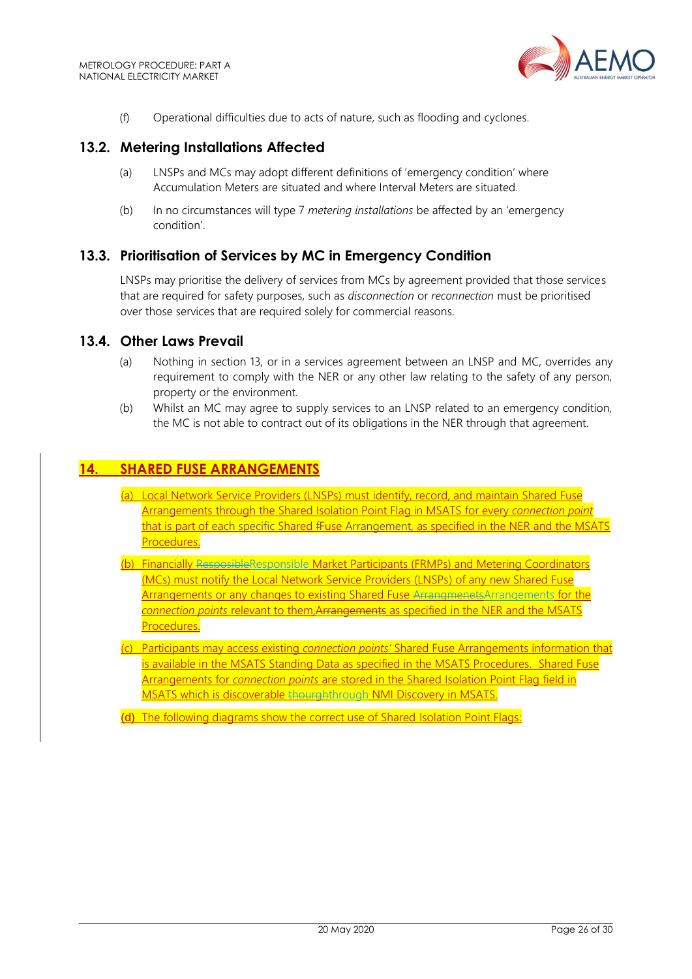

(f) Operational difficulties due to acts of nature, such as flooding and cyclones.

## <span id="page-25-0"></span>**13.2. Metering Installations Affected**

- (a) LNSPs and MCs may adopt different definitions of 'emergency condition' where Accumulation Meters are situated and where Interval Meters are situated.
- (b) In no circumstances will type 7 *metering installations* be affected by an 'emergency condition'.

## <span id="page-25-1"></span>**13.3. Prioritisation of Services by MC in Emergency Condition**

LNSPs may prioritise the delivery of services from MCs by agreement provided that those services that are required for safety purposes, such as *disconnection* or *reconnection* must be prioritised over those services that are required solely for commercial reasons.

#### <span id="page-25-2"></span>**13.4. Other Laws Prevail**

- (a) Nothing in section 13, or in a services agreement between an LNSP and MC, overrides any requirement to comply with the NER or any other law relating to the safety of any person, property or the environment.
- (b) Whilst an MC may agree to supply services to an LNSP related to an emergency condition, the MC is not able to contract out of its obligations in the NER through that agreement.

# <span id="page-25-3"></span>**14. SHARED FUSE ARRANGEMENTS**

- (a) Local Network Service Providers (LNSPs) must identify, record, and maintain Shared Fuse Arrangements through the Shared Isolation Point Flag in MSATS for every *connection point* that is part of each specific Shared fFuse Arrangement, as specified in the NER and the MSATS Procedures.
- (b) Financially ResposibleResponsible Market Participants (FRMPs) and Metering Coordinators (MCs) must notify the Local Network Service Providers (LNSPs) of any new Shared Fuse Arrangements or any changes to existing Shared Fuse ArrangmenetsArrangements for the *connection points* relevant to them,Arrangements as specified in the NER and the MSATS Procedures.
- (c) Participants may access existing *connection points'* Shared Fuse Arrangements information that is available in the MSATS Standing Data as specified in the MSATS Procedures. Shared Fuse Arrangements for *connection points* are stored in the Shared Isolation Point Flag field in MSATS which is discoverable thourghthrough NMI Discovery in MSATS.

(d) The following diagrams show the correct use of Shared Isolation Point Flags: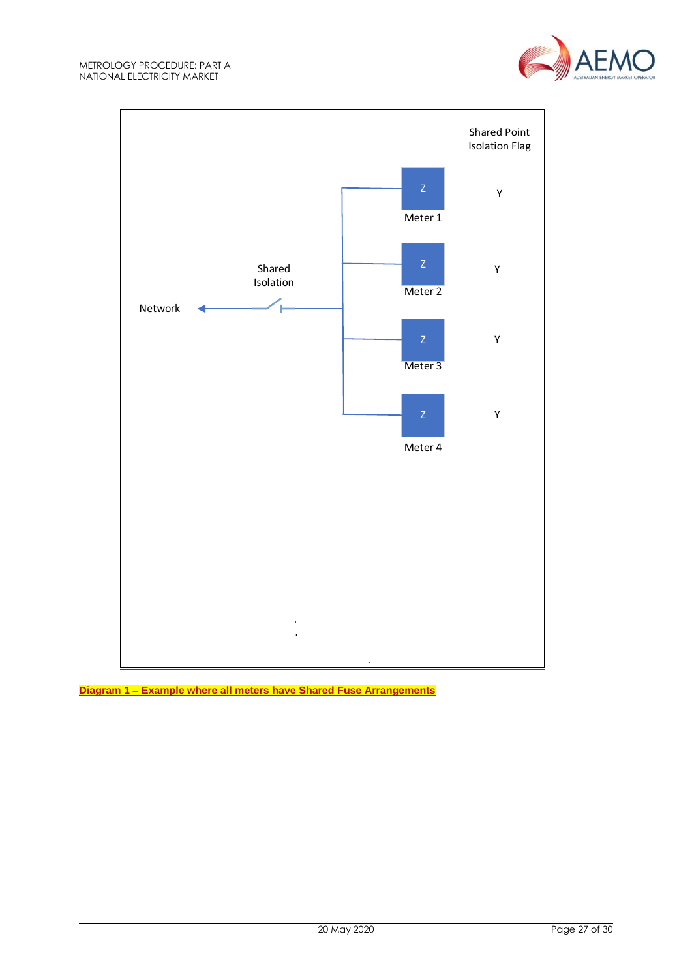



**Diagram 1 – Example where all meters have Shared Fuse Arrangements**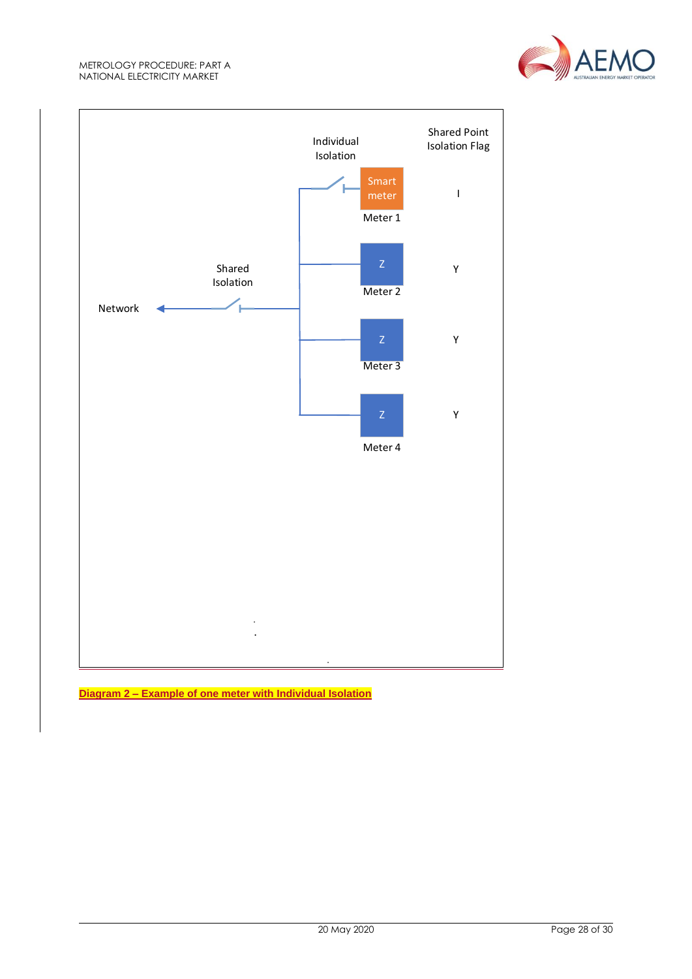



**Diagram 2 – Example of one meter with Individual Isolation**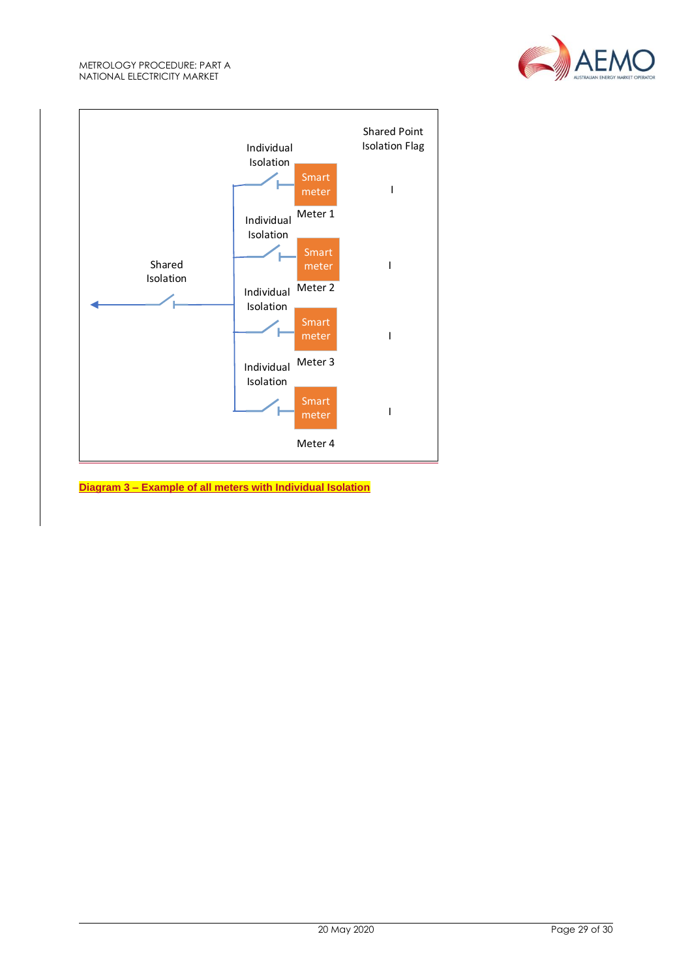



**Diagram 3 – Example of all meters with Individual Isolation**